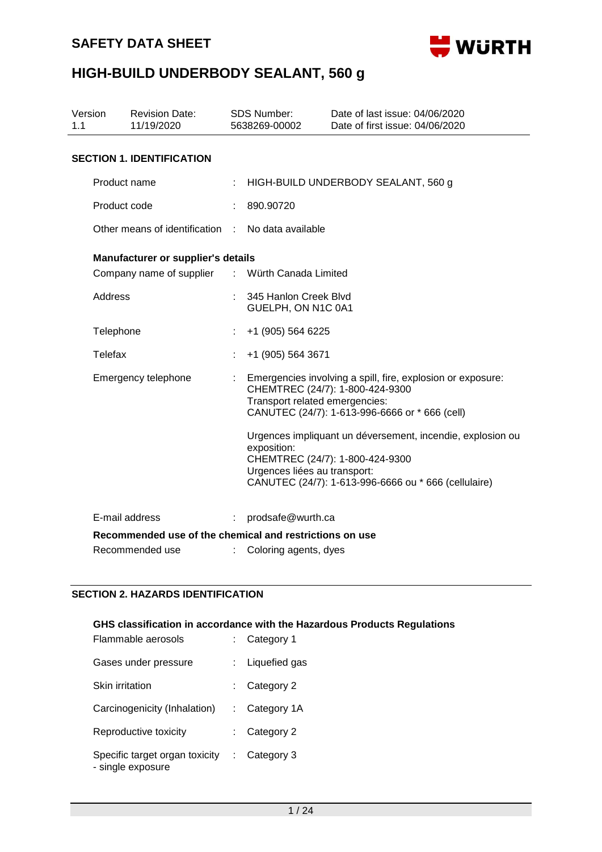

| 1.1 | Version        | <b>Revision Date:</b><br>11/19/2020                     |    | <b>SDS Number:</b><br>5638269-00002         | Date of last issue: 04/06/2020<br>Date of first issue: 04/06/2020                                                                                     |
|-----|----------------|---------------------------------------------------------|----|---------------------------------------------|-------------------------------------------------------------------------------------------------------------------------------------------------------|
|     |                | <b>SECTION 1. IDENTIFICATION</b>                        |    |                                             |                                                                                                                                                       |
|     | Product name   |                                                         |    |                                             | HIGH-BUILD UNDERBODY SEALANT, 560 g                                                                                                                   |
|     | Product code   |                                                         |    | 890.90720                                   |                                                                                                                                                       |
|     |                | Other means of identification                           |    | No data available                           |                                                                                                                                                       |
|     |                | Manufacturer or supplier's details                      |    |                                             |                                                                                                                                                       |
|     |                | Company name of supplier                                |    | : Würth Canada Limited                      |                                                                                                                                                       |
|     | <b>Address</b> |                                                         |    | 345 Hanlon Creek Blvd<br>GUELPH, ON N1C 0A1 |                                                                                                                                                       |
|     | Telephone      |                                                         |    | +1 (905) 564 6225                           |                                                                                                                                                       |
|     | Telefax        |                                                         |    | +1 (905) 564 3671                           |                                                                                                                                                       |
|     |                | Emergency telephone                                     |    | Transport related emergencies:              | Emergencies involving a spill, fire, explosion or exposure:<br>CHEMTREC (24/7): 1-800-424-9300<br>CANUTEC (24/7): 1-613-996-6666 or * 666 (cell)      |
|     |                |                                                         |    | exposition:<br>Urgences liées au transport: | Urgences impliquant un déversement, incendie, explosion ou<br>CHEMTREC (24/7): 1-800-424-9300<br>CANUTEC (24/7): 1-613-996-6666 ou * 666 (cellulaire) |
|     |                | E-mail address                                          | ÷. | prodsafe@wurth.ca                           |                                                                                                                                                       |
|     |                | Recommended use of the chemical and restrictions on use |    |                                             |                                                                                                                                                       |
|     |                | Recommended use                                         |    | Coloring agents, dyes                       |                                                                                                                                                       |

#### **SECTION 2. HAZARDS IDENTIFICATION**

| Flammable aerosols                                  |   | GHS classification in accordance with the Hazardous Products Regulations<br>Category 1 |
|-----------------------------------------------------|---|----------------------------------------------------------------------------------------|
| Gases under pressure                                |   | Liquefied gas                                                                          |
| Skin irritation                                     |   | Category 2                                                                             |
| Carcinogenicity (Inhalation)                        |   | Category 1A                                                                            |
| Reproductive toxicity                               |   | Category 2                                                                             |
| Specific target organ toxicity<br>- single exposure | ÷ | Category 3                                                                             |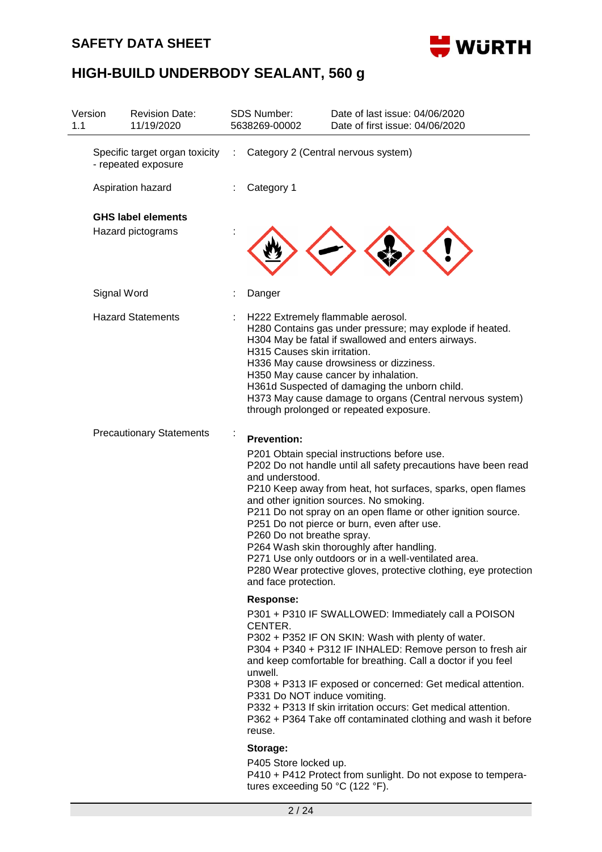### **SAFETY DATA SHEET**



| Version<br>1.1 | <b>Revision Date:</b><br>11/19/2020                   |   | <b>SDS Number:</b><br>5638269-00002                                                                                                                      | Date of last issue: 04/06/2020<br>Date of first issue: 04/06/2020                                                                                                                                                                                                                                                                                                                                                                                                                                                |
|----------------|-------------------------------------------------------|---|----------------------------------------------------------------------------------------------------------------------------------------------------------|------------------------------------------------------------------------------------------------------------------------------------------------------------------------------------------------------------------------------------------------------------------------------------------------------------------------------------------------------------------------------------------------------------------------------------------------------------------------------------------------------------------|
|                | Specific target organ toxicity<br>- repeated exposure | ÷ |                                                                                                                                                          | Category 2 (Central nervous system)                                                                                                                                                                                                                                                                                                                                                                                                                                                                              |
|                | Aspiration hazard                                     |   | Category 1                                                                                                                                               |                                                                                                                                                                                                                                                                                                                                                                                                                                                                                                                  |
|                | <b>GHS label elements</b>                             |   |                                                                                                                                                          |                                                                                                                                                                                                                                                                                                                                                                                                                                                                                                                  |
|                | Hazard pictograms                                     |   |                                                                                                                                                          |                                                                                                                                                                                                                                                                                                                                                                                                                                                                                                                  |
|                | Signal Word                                           |   | Danger                                                                                                                                                   |                                                                                                                                                                                                                                                                                                                                                                                                                                                                                                                  |
|                | <b>Hazard Statements</b>                              |   | H222 Extremely flammable aerosol.<br>H315 Causes skin irritation.                                                                                        | H280 Contains gas under pressure; may explode if heated.<br>H304 May be fatal if swallowed and enters airways.<br>H336 May cause drowsiness or dizziness.<br>H350 May cause cancer by inhalation.<br>H361d Suspected of damaging the unborn child.<br>H373 May cause damage to organs (Central nervous system)<br>through prolonged or repeated exposure.                                                                                                                                                        |
|                | <b>Precautionary Statements</b>                       |   | <b>Prevention:</b><br>and understood.<br>P260 Do not breathe spray.<br>and face protection.                                                              | P201 Obtain special instructions before use.<br>P202 Do not handle until all safety precautions have been read<br>P210 Keep away from heat, hot surfaces, sparks, open flames<br>and other ignition sources. No smoking.<br>P211 Do not spray on an open flame or other ignition source.<br>P251 Do not pierce or burn, even after use.<br>P264 Wash skin thoroughly after handling.<br>P271 Use only outdoors or in a well-ventilated area.<br>P280 Wear protective gloves, protective clothing, eye protection |
|                |                                                       |   | <b>Response:</b><br>CENTER.<br>unwell.<br>P331 Do NOT induce vomiting.<br>reuse.<br>Storage:<br>P405 Store locked up.<br>tures exceeding 50 °C (122 °F). | P301 + P310 IF SWALLOWED: Immediately call a POISON<br>P302 + P352 IF ON SKIN: Wash with plenty of water.<br>P304 + P340 + P312 IF INHALED: Remove person to fresh air<br>and keep comfortable for breathing. Call a doctor if you feel<br>P308 + P313 IF exposed or concerned: Get medical attention.<br>P332 + P313 If skin irritation occurs: Get medical attention.<br>P362 + P364 Take off contaminated clothing and wash it before<br>P410 + P412 Protect from sunlight. Do not expose to tempera-         |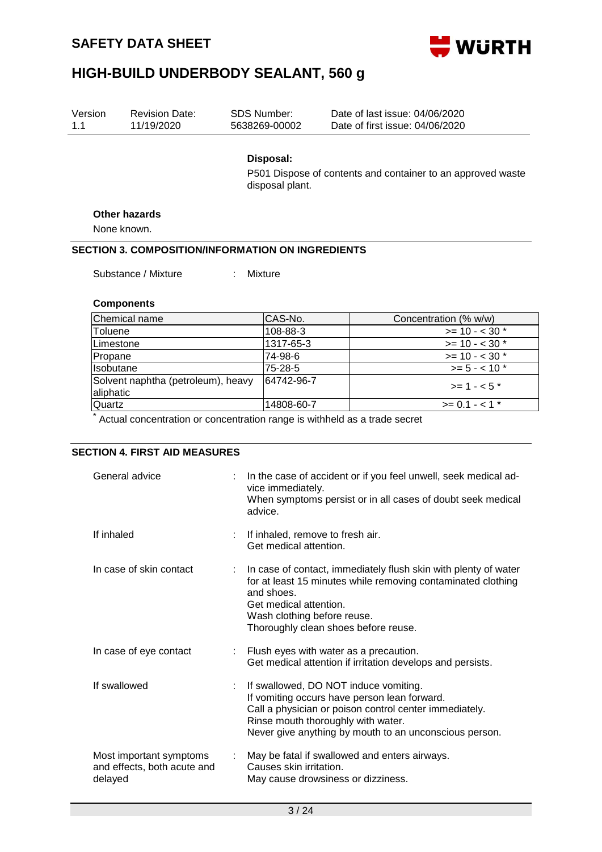

| Version<br>1.1                                  | <b>Revision Date:</b><br>11/19/2020                                                                               | <b>SDS Number:</b><br>5638269-00002                                 | Date of last issue: 04/06/2020<br>Date of first issue: 04/06/2020                                                                                                       |
|-------------------------------------------------|-------------------------------------------------------------------------------------------------------------------|---------------------------------------------------------------------|-------------------------------------------------------------------------------------------------------------------------------------------------------------------------|
|                                                 |                                                                                                                   | Disposal:<br>disposal plant.                                        | P501 Dispose of contents and container to an approved waste                                                                                                             |
|                                                 | Other hazards                                                                                                     |                                                                     |                                                                                                                                                                         |
|                                                 | None known.                                                                                                       |                                                                     |                                                                                                                                                                         |
|                                                 | <b>SECTION 3. COMPOSITION/INFORMATION ON INGREDIENTS</b>                                                          |                                                                     |                                                                                                                                                                         |
|                                                 | Substance / Mixture                                                                                               | Mixture                                                             |                                                                                                                                                                         |
|                                                 | <b>Components</b>                                                                                                 |                                                                     |                                                                                                                                                                         |
|                                                 | Chemical name                                                                                                     | CAS-No.                                                             | Concentration (% w/w)                                                                                                                                                   |
| Toluene                                         |                                                                                                                   | 108-88-3                                                            | $>= 10 - 30$ *                                                                                                                                                          |
| Limestone                                       |                                                                                                                   | 1317-65-3                                                           | $>= 10 - 30$ *                                                                                                                                                          |
| Propane                                         |                                                                                                                   | 74-98-6                                                             | $>= 10 - 30$ *                                                                                                                                                          |
| Isobutane                                       |                                                                                                                   | 75-28-5                                                             | $>= 5 - < 10$ *                                                                                                                                                         |
| Solvent naphtha (petroleum), heavy<br>aliphatic |                                                                                                                   | 64742-96-7                                                          | $>= 1 - 5$ *                                                                                                                                                            |
| Quartz                                          |                                                                                                                   | 14808-60-7                                                          | $>= 0.1 - 1$ *                                                                                                                                                          |
|                                                 | Actual concentration or concentration range is withheld as a trade secret<br><b>SECTION 4. FIRST AID MEASURES</b> |                                                                     |                                                                                                                                                                         |
|                                                 | General advice                                                                                                    | vice immediately.<br>advice.                                        | In the case of accident or if you feel unwell, seek medical ad-<br>When symptoms persist or in all cases of doubt seek medical                                          |
| If inhaled                                      |                                                                                                                   | If inhaled, remove to fresh air.<br>Get medical attention.          |                                                                                                                                                                         |
|                                                 | In case of skin contact                                                                                           | and shoes.<br>Get medical attention.<br>Wash clothing before reuse. | In case of contact, immediately flush skin with plenty of water<br>for at least 15 minutes while removing contaminated clothing<br>Thoroughly clean shoes before reuse. |
|                                                 | In case of eye contact                                                                                            |                                                                     | Flush eyes with water as a precaution.<br>Get medical attention if irritation develops and persists.                                                                    |

| If swallowed                                                      | If swallowed, DO NOT induce vomiting.<br>If vomiting occurs have person lean forward.<br>Call a physician or poison control center immediately.<br>Rinse mouth thoroughly with water.<br>Never give anything by mouth to an unconscious person. |
|-------------------------------------------------------------------|-------------------------------------------------------------------------------------------------------------------------------------------------------------------------------------------------------------------------------------------------|
| Most important symptoms<br>and effects, both acute and<br>delayed | May be fatal if swallowed and enters airways.<br>Causes skin irritation.<br>May cause drowsiness or dizziness.                                                                                                                                  |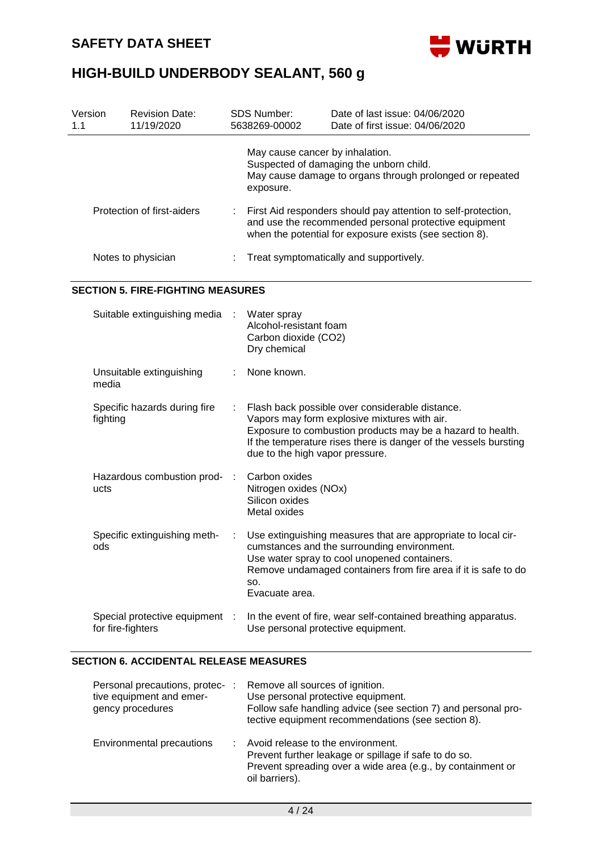

| Version<br>1.1 | <b>Revision Date:</b><br>11/19/2020                                             |   | <b>SDS Number:</b><br>5638269-00002                                           | Date of last issue: 04/06/2020<br>Date of first issue: 04/06/2020                                                                                                                                                                 |
|----------------|---------------------------------------------------------------------------------|---|-------------------------------------------------------------------------------|-----------------------------------------------------------------------------------------------------------------------------------------------------------------------------------------------------------------------------------|
|                |                                                                                 |   | May cause cancer by inhalation.<br>exposure.                                  | Suspected of damaging the unborn child.<br>May cause damage to organs through prolonged or repeated                                                                                                                               |
|                | Protection of first-aiders                                                      |   |                                                                               | First Aid responders should pay attention to self-protection,<br>and use the recommended personal protective equipment<br>when the potential for exposure exists (see section 8).                                                 |
|                | Notes to physician                                                              |   |                                                                               | Treat symptomatically and supportively.                                                                                                                                                                                           |
|                | <b>SECTION 5. FIRE-FIGHTING MEASURES</b>                                        |   |                                                                               |                                                                                                                                                                                                                                   |
|                | Suitable extinguishing media                                                    |   | Water spray<br>Alcohol-resistant foam<br>Carbon dioxide (CO2)<br>Dry chemical |                                                                                                                                                                                                                                   |
|                | Unsuitable extinguishing<br>media                                               |   | None known.                                                                   |                                                                                                                                                                                                                                   |
|                | Specific hazards during fire<br>fighting                                        |   | due to the high vapor pressure.                                               | Flash back possible over considerable distance.<br>Vapors may form explosive mixtures with air.<br>Exposure to combustion products may be a hazard to health.<br>If the temperature rises there is danger of the vessels bursting |
|                | Hazardous combustion prod-<br>ucts                                              |   | Carbon oxides<br>Nitrogen oxides (NOx)<br>Silicon oxides<br>Metal oxides      |                                                                                                                                                                                                                                   |
|                | Specific extinguishing meth-<br>ods                                             | ÷ | SO.<br>Evacuate area.                                                         | Use extinguishing measures that are appropriate to local cir-<br>cumstances and the surrounding environment.<br>Use water spray to cool unopened containers.<br>Remove undamaged containers from fire area if it is safe to do    |
|                | Special protective equipment :<br>for fire-fighters                             |   |                                                                               | In the event of fire, wear self-contained breathing apparatus.<br>Use personal protective equipment.                                                                                                                              |
|                | <b>SECTION 6. ACCIDENTAL RELEASE MEASURES</b>                                   |   |                                                                               |                                                                                                                                                                                                                                   |
|                | Personal precautions, protec- :<br>tive equipment and emer-<br>gency procedures |   | Remove all sources of ignition.                                               | Use personal protective equipment.<br>Follow safe handling advice (see section 7) and personal pro-<br>tective equipment recommendations (see section 8).                                                                         |
|                | Environmental precautions                                                       |   | Avoid release to the environment.<br>oil barriers).                           | Prevent further leakage or spillage if safe to do so.<br>Prevent spreading over a wide area (e.g., by containment or                                                                                                              |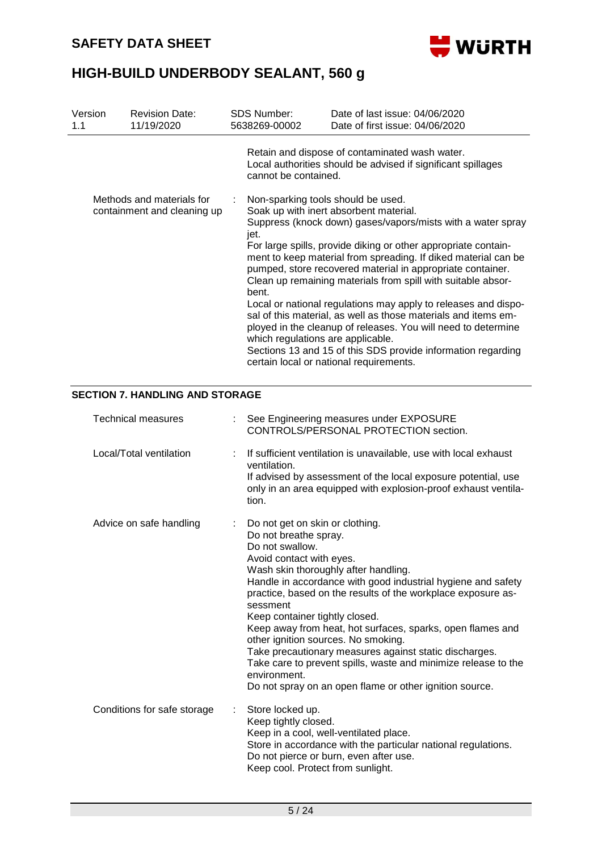

| Version<br>1.1                         | <b>Revision Date:</b><br>11/19/2020 |  | <b>SDS Number:</b><br>5638269-00002                        | Date of last issue: 04/06/2020<br>Date of first issue: 04/06/2020                                                                                                                                                                                                                                                                                                                                                                                                                                                                                                                                                                                                                       |
|----------------------------------------|-------------------------------------|--|------------------------------------------------------------|-----------------------------------------------------------------------------------------------------------------------------------------------------------------------------------------------------------------------------------------------------------------------------------------------------------------------------------------------------------------------------------------------------------------------------------------------------------------------------------------------------------------------------------------------------------------------------------------------------------------------------------------------------------------------------------------|
|                                        | Methods and materials for           |  | cannot be contained.<br>Non-sparking tools should be used. | Retain and dispose of contaminated wash water.<br>Local authorities should be advised if significant spillages                                                                                                                                                                                                                                                                                                                                                                                                                                                                                                                                                                          |
|                                        | containment and cleaning up         |  | jet.<br>bent.<br>which regulations are applicable.         | Soak up with inert absorbent material.<br>Suppress (knock down) gases/vapors/mists with a water spray<br>For large spills, provide diking or other appropriate contain-<br>ment to keep material from spreading. If diked material can be<br>pumped, store recovered material in appropriate container.<br>Clean up remaining materials from spill with suitable absor-<br>Local or national regulations may apply to releases and dispo-<br>sal of this material, as well as those materials and items em-<br>ployed in the cleanup of releases. You will need to determine<br>Sections 13 and 15 of this SDS provide information regarding<br>certain local or national requirements. |
| <b>SECTION 7. HANDLING AND STORAGE</b> |                                     |  |                                                            |                                                                                                                                                                                                                                                                                                                                                                                                                                                                                                                                                                                                                                                                                         |

#### Technical measures : See Engineering measures under EXPOSURE CONTROLS/PERSONAL PROTECTION section. Local/Total ventilation : If sufficient ventilation is unavailable, use with local exhaust ventilation. If advised by assessment of the local exposure potential, use only in an area equipped with explosion-proof exhaust ventilation. Advice on safe handling : Do not get on skin or clothing. Do not breathe spray. Do not swallow. Avoid contact with eyes. Wash skin thoroughly after handling. Handle in accordance with good industrial hygiene and safety practice, based on the results of the workplace exposure assessment Keep container tightly closed. Keep away from heat, hot surfaces, sparks, open flames and other ignition sources. No smoking. Take precautionary measures against static discharges. Take care to prevent spills, waste and minimize release to the environment. Do not spray on an open flame or other ignition source. Conditions for safe storage : Store locked up. Keep tightly closed. Keep in a cool, well-ventilated place. Store in accordance with the particular national regulations. Do not pierce or burn, even after use. Keep cool. Protect from sunlight.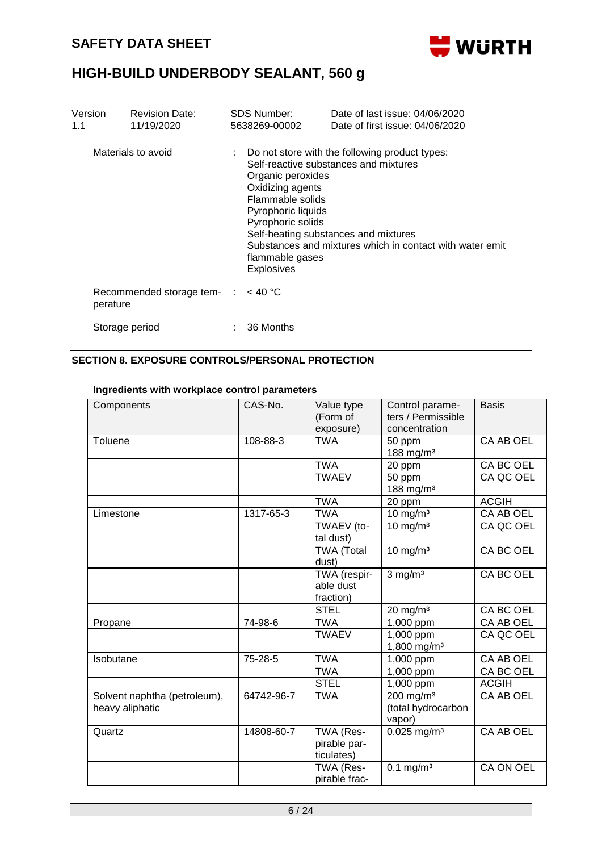

| Version<br>1.1 | <b>Revision Date:</b><br>11/19/2020 | <b>SDS Number:</b><br>5638269-00002                                                                                                          | Date of last issue: 04/06/2020<br>Date of first issue: 04/06/2020                                                                                                                                        |
|----------------|-------------------------------------|----------------------------------------------------------------------------------------------------------------------------------------------|----------------------------------------------------------------------------------------------------------------------------------------------------------------------------------------------------------|
|                | Materials to avoid                  | Organic peroxides<br>Oxidizing agents<br>Flammable solids<br>Pyrophoric liquids<br>Pyrophoric solids<br>flammable gases<br><b>Explosives</b> | $\therefore$ Do not store with the following product types:<br>Self-reactive substances and mixtures<br>Self-heating substances and mixtures<br>Substances and mixtures which in contact with water emit |
| perature       | Recommended storage tem- :          | $<$ 40 °C                                                                                                                                    |                                                                                                                                                                                                          |
|                | Storage period                      | 36 Months                                                                                                                                    |                                                                                                                                                                                                          |

#### **SECTION 8. EXPOSURE CONTROLS/PERSONAL PROTECTION**

#### **Ingredients with workplace control parameters**

| Components                                      | CAS-No.    | Value type<br>(Form of<br>exposure)     | Control parame-<br>ters / Permissible<br>concentration | <b>Basis</b>     |
|-------------------------------------------------|------------|-----------------------------------------|--------------------------------------------------------|------------------|
| Toluene                                         | 108-88-3   | <b>TWA</b>                              | 50 ppm<br>188 mg/m <sup>3</sup>                        | CA AB OEL        |
|                                                 |            | <b>TWA</b>                              | 20 ppm                                                 | CA BC OEL        |
|                                                 |            | <b>TWAEV</b>                            | 50 ppm<br>188 mg/m <sup>3</sup>                        | CA QC OEL        |
|                                                 |            | <b>TWA</b>                              | 20 ppm                                                 | <b>ACGIH</b>     |
| Limestone                                       | 1317-65-3  | <b>TWA</b>                              | $10 \text{ mg/m}^3$                                    | CA AB OEL        |
|                                                 |            | TWAEV (to-<br>tal dust)                 | $10 \text{ mg/m}^3$                                    | CA QC OEL        |
|                                                 |            | <b>TWA (Total</b><br>dust)              | $10 \text{ mg/m}^3$                                    | CA BC OEL        |
|                                                 |            | TWA (respir-<br>able dust<br>fraction)  | $3$ mg/m $3$                                           | <b>CA BC OEL</b> |
|                                                 |            | <b>STEL</b>                             | $20 \text{ mg/m}^3$                                    | CA BC OEL        |
| Propane                                         | 74-98-6    | <b>TWA</b>                              | 1,000 ppm                                              | CA AB OEL        |
|                                                 |            | <b>TWAEV</b>                            | 1,000 ppm<br>1,800 mg/m <sup>3</sup>                   | CA QC OEL        |
| Isobutane                                       | 75-28-5    | <b>TWA</b>                              | 1,000 ppm                                              | CA AB OEL        |
|                                                 |            | <b>TWA</b>                              | 1,000 ppm                                              | CA BC OEL        |
|                                                 |            | <b>STEL</b>                             | 1,000 ppm                                              | <b>ACGIH</b>     |
| Solvent naphtha (petroleum),<br>heavy aliphatic | 64742-96-7 | <b>TWA</b>                              | 200 mg/m <sup>3</sup><br>(total hydrocarbon<br>vapor)  | CA AB OEL        |
| Quartz                                          | 14808-60-7 | TWA (Res-<br>pirable par-<br>ticulates) | $0.025$ mg/m <sup>3</sup>                              | CA AB OEL        |
|                                                 |            | TWA (Res-<br>pirable frac-              | $0.1 \text{ mg/m}^3$                                   | CA ON OEL        |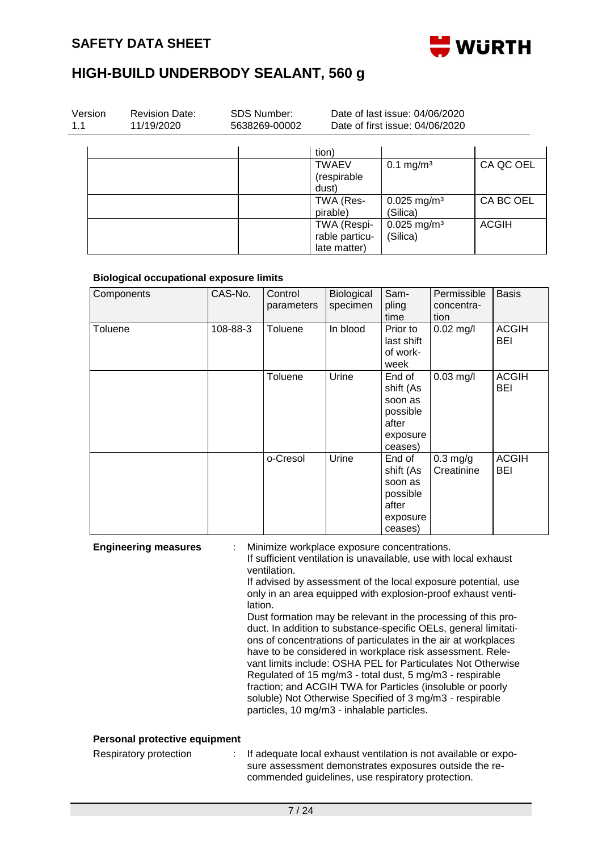

| Version<br>1.1 | <b>Revision Date:</b><br>11/19/2020 | <b>SDS Number:</b><br>5638269-00002 |                                               | Date of last issue: 04/06/2020<br>Date of first issue: 04/06/2020 |              |
|----------------|-------------------------------------|-------------------------------------|-----------------------------------------------|-------------------------------------------------------------------|--------------|
|                |                                     |                                     | tion)                                         |                                                                   |              |
|                |                                     |                                     | TWAEV<br>(respirable<br>dust)                 | $0.1 \text{ mg/m}^3$                                              | CA QC OEL    |
|                |                                     |                                     | TWA (Res-<br>pirable)                         | $0.025$ mg/m <sup>3</sup><br>(Silica)                             | CA BC OEL    |
|                |                                     |                                     | TWA (Respi-<br>rable particu-<br>late matter) | $0.025$ mg/m <sup>3</sup><br>(Silica)                             | <b>ACGIH</b> |

#### **Biological occupational exposure limits**

| Components | CAS-No.  | Control<br>parameters | Biological<br>specimen | Sam-<br>pling<br>time                                                      | Permissible<br>concentra-<br>tion | <b>Basis</b>        |
|------------|----------|-----------------------|------------------------|----------------------------------------------------------------------------|-----------------------------------|---------------------|
| Toluene    | 108-88-3 | <b>Toluene</b>        | In blood               | Prior to<br>last shift<br>of work-<br>week                                 | $0.02$ mg/l                       | <b>ACGIH</b><br>BEI |
|            |          | Toluene               | Urine                  | End of<br>shift (As<br>soon as<br>possible<br>after<br>exposure<br>ceases) | $0.03$ mg/l                       | <b>ACGIH</b><br>BEI |
|            |          | o-Cresol              | Urine                  | End of<br>shift (As<br>soon as<br>possible<br>after<br>exposure<br>ceases) | $0.3$ mg/g<br>Creatinine          | <b>ACGIH</b><br>BEI |

**Engineering measures** : Minimize workplace exposure concentrations. If sufficient ventilation is unavailable, use with local exhaust

ventilation.

If advised by assessment of the local exposure potential, use only in an area equipped with explosion-proof exhaust ventilation.

Dust formation may be relevant in the processing of this product. In addition to substance-specific OELs, general limitations of concentrations of particulates in the air at workplaces have to be considered in workplace risk assessment. Relevant limits include: OSHA PEL for Particulates Not Otherwise Regulated of 15 mg/m3 - total dust, 5 mg/m3 - respirable fraction; and ACGIH TWA for Particles (insoluble or poorly soluble) Not Otherwise Specified of 3 mg/m3 - respirable particles, 10 mg/m3 - inhalable particles.

#### **Personal protective equipment**

| commended guidelines, use respiratory protection. | Respiratory protection |  | : If adequate local exhaust ventilation is not available or expo-<br>sure assessment demonstrates exposures outside the re- |
|---------------------------------------------------|------------------------|--|-----------------------------------------------------------------------------------------------------------------------------|
|---------------------------------------------------|------------------------|--|-----------------------------------------------------------------------------------------------------------------------------|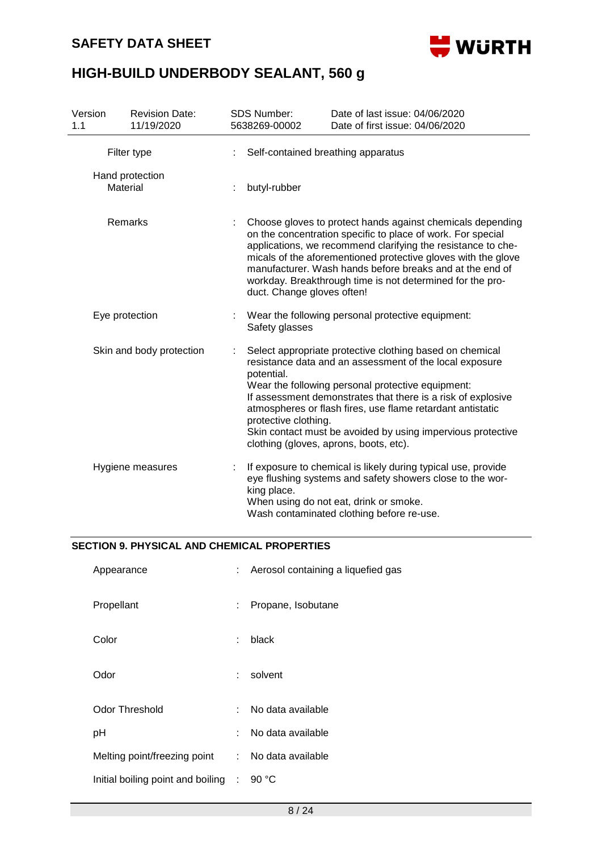

| Version<br>1.1           |          | <b>Revision Date:</b><br>11/19/2020                                                                                                                                                                                                                                                                                                                                                                                                                   | <b>SDS Number:</b><br>5638269-00002                                                                                                                                                                               | Date of last issue: 04/06/2020<br>Date of first issue: 04/06/2020 |  |
|--------------------------|----------|-------------------------------------------------------------------------------------------------------------------------------------------------------------------------------------------------------------------------------------------------------------------------------------------------------------------------------------------------------------------------------------------------------------------------------------------------------|-------------------------------------------------------------------------------------------------------------------------------------------------------------------------------------------------------------------|-------------------------------------------------------------------|--|
|                          |          | Filter type                                                                                                                                                                                                                                                                                                                                                                                                                                           | Self-contained breathing apparatus                                                                                                                                                                                |                                                                   |  |
|                          | Material | Hand protection                                                                                                                                                                                                                                                                                                                                                                                                                                       | butyl-rubber                                                                                                                                                                                                      |                                                                   |  |
| Remarks                  |          | Choose gloves to protect hands against chemicals depending<br>on the concentration specific to place of work. For special<br>applications, we recommend clarifying the resistance to che-<br>micals of the aforementioned protective gloves with the glove<br>manufacturer. Wash hands before breaks and at the end of<br>workday. Breakthrough time is not determined for the pro-<br>duct. Change gloves often!                                     |                                                                                                                                                                                                                   |                                                                   |  |
| Eye protection           |          | Wear the following personal protective equipment:<br>Safety glasses                                                                                                                                                                                                                                                                                                                                                                                   |                                                                                                                                                                                                                   |                                                                   |  |
| Skin and body protection |          | Select appropriate protective clothing based on chemical<br>resistance data and an assessment of the local exposure<br>potential.<br>Wear the following personal protective equipment:<br>If assessment demonstrates that there is a risk of explosive<br>atmospheres or flash fires, use flame retardant antistatic<br>protective clothing.<br>Skin contact must be avoided by using impervious protective<br>clothing (gloves, aprons, boots, etc). |                                                                                                                                                                                                                   |                                                                   |  |
| Hygiene measures         |          | king place.                                                                                                                                                                                                                                                                                                                                                                                                                                           | If exposure to chemical is likely during typical use, provide<br>eye flushing systems and safety showers close to the wor-<br>When using do not eat, drink or smoke.<br>Wash contaminated clothing before re-use. |                                                                   |  |

#### **SECTION 9. PHYSICAL AND CHEMICAL PROPERTIES**

| Appearance                        |    | : Aerosol containing a liquefied gas |
|-----------------------------------|----|--------------------------------------|
| Propellant                        | ÷  | Propane, Isobutane                   |
| Color                             | ÷  | black                                |
| Odor                              | ÷. | solvent                              |
| <b>Odor Threshold</b>             | t. | No data available                    |
| pH                                | ÷  | No data available                    |
| Melting point/freezing point      |    | : No data available                  |
| Initial boiling point and boiling | ÷  | 90 $^{\circ}$ C                      |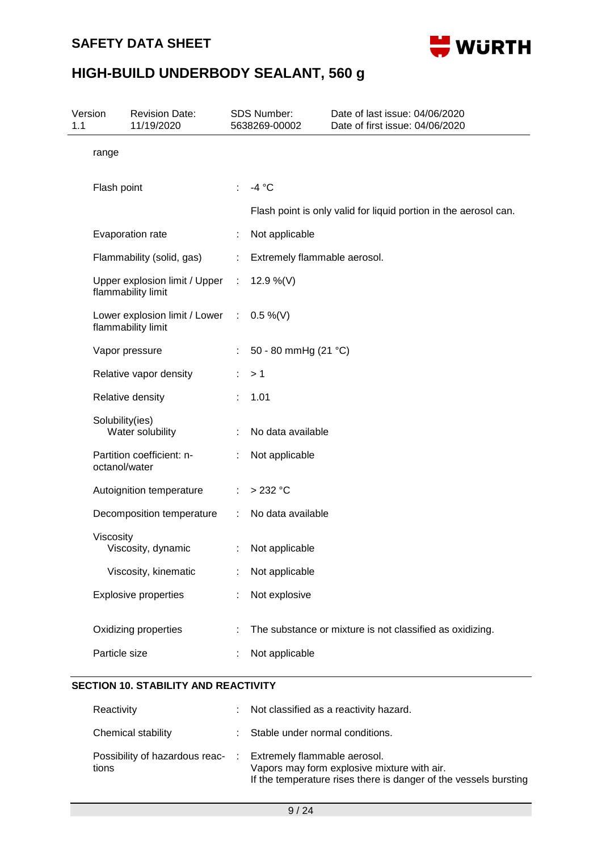

| Version<br>1.1 | <b>Revision Date:</b><br>11/19/2020                 | SDS Number:<br>5638269-00002 |                              | Date of last issue: 04/06/2020<br>Date of first issue: 04/06/2020 |  |
|----------------|-----------------------------------------------------|------------------------------|------------------------------|-------------------------------------------------------------------|--|
| range          |                                                     |                              |                              |                                                                   |  |
|                | Flash point                                         | ÷                            | $-4 °C$                      |                                                                   |  |
|                |                                                     |                              |                              | Flash point is only valid for liquid portion in the aerosol can.  |  |
|                | Evaporation rate                                    |                              | Not applicable               |                                                                   |  |
|                | Flammability (solid, gas)                           | ÷                            | Extremely flammable aerosol. |                                                                   |  |
|                | Upper explosion limit / Upper<br>flammability limit | ÷                            | 12.9 %(V)                    |                                                                   |  |
|                | Lower explosion limit / Lower<br>flammability limit | ÷.                           | $0.5\%$ (V)                  |                                                                   |  |
|                | Vapor pressure                                      | ÷                            | 50 - 80 mmHg (21 °C)         |                                                                   |  |
|                | Relative vapor density                              | ÷                            | >1                           |                                                                   |  |
|                | Relative density                                    |                              | 1.01                         |                                                                   |  |
|                | Solubility(ies)<br>Water solubility                 |                              | No data available            |                                                                   |  |
|                | Partition coefficient: n-<br>octanol/water          | ÷                            | Not applicable               |                                                                   |  |
|                | Autoignition temperature                            | ÷                            | $>232$ °C                    |                                                                   |  |
|                | Decomposition temperature                           | ÷                            | No data available            |                                                                   |  |
| Viscosity      | Viscosity, dynamic                                  |                              | Not applicable               |                                                                   |  |
|                | Viscosity, kinematic                                |                              | Not applicable               |                                                                   |  |
|                | <b>Explosive properties</b>                         |                              | Not explosive                |                                                                   |  |
|                | Oxidizing properties                                |                              |                              | The substance or mixture is not classified as oxidizing.          |  |
|                | Particle size                                       |                              | Not applicable               |                                                                   |  |

| Reactivity                              | : Not classified as a reactivity hazard.                                                                                                        |
|-----------------------------------------|-------------------------------------------------------------------------------------------------------------------------------------------------|
| Chemical stability                      | : Stable under normal conditions.                                                                                                               |
| Possibility of hazardous reac-<br>tions | Extremely flammable aerosol.<br>Vapors may form explosive mixture with air.<br>If the temperature rises there is danger of the vessels bursting |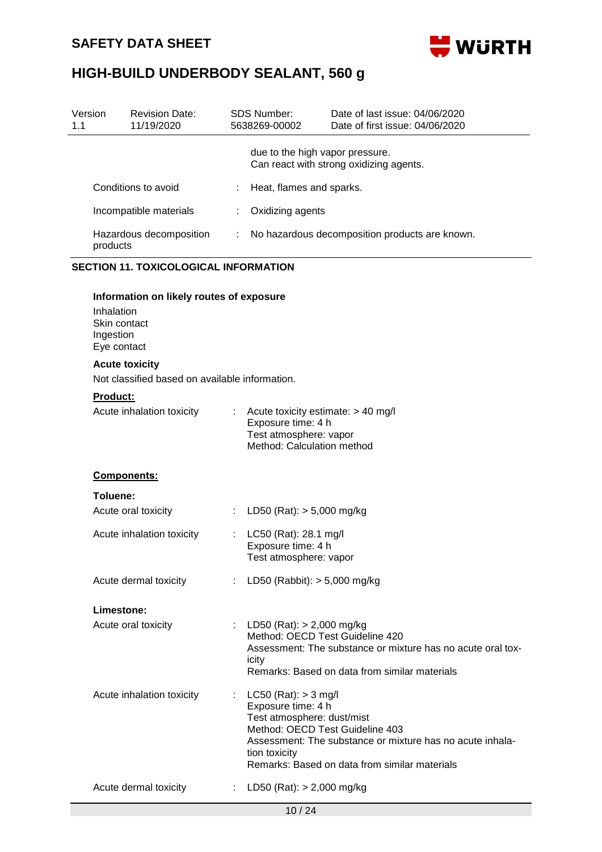

| Version<br>1.1                               | <b>Revision Date:</b><br>11/19/2020                                                                                         |                           | <b>SDS Number:</b><br>5638269-00002                                                                                              | Date of last issue: 04/06/2020<br>Date of first issue: 04/06/2020                                            |  |  |  |
|----------------------------------------------|-----------------------------------------------------------------------------------------------------------------------------|---------------------------|----------------------------------------------------------------------------------------------------------------------------------|--------------------------------------------------------------------------------------------------------------|--|--|--|
|                                              |                                                                                                                             |                           | due to the high vapor pressure.                                                                                                  | Can react with strong oxidizing agents.                                                                      |  |  |  |
|                                              | Conditions to avoid                                                                                                         |                           | Heat, flames and sparks.                                                                                                         |                                                                                                              |  |  |  |
|                                              | Incompatible materials                                                                                                      |                           | Oxidizing agents                                                                                                                 |                                                                                                              |  |  |  |
|                                              | Hazardous decomposition<br>products                                                                                         | ÷                         | No hazardous decomposition products are known.                                                                                   |                                                                                                              |  |  |  |
| <b>SECTION 11. TOXICOLOGICAL INFORMATION</b> |                                                                                                                             |                           |                                                                                                                                  |                                                                                                              |  |  |  |
|                                              | Information on likely routes of exposure<br>Inhalation<br>Skin contact<br>Ingestion<br>Eye contact<br><b>Acute toxicity</b> |                           |                                                                                                                                  |                                                                                                              |  |  |  |
|                                              | Not classified based on available information.                                                                              |                           |                                                                                                                                  |                                                                                                              |  |  |  |
|                                              | Product:                                                                                                                    |                           |                                                                                                                                  |                                                                                                              |  |  |  |
|                                              | Acute inhalation toxicity                                                                                                   | $\mathbb{Z}^{\mathbb{Z}}$ | Acute toxicity estimate: > 40 mg/l<br>Exposure time: 4 h<br>Test atmosphere: vapor<br>Method: Calculation method                 |                                                                                                              |  |  |  |
|                                              | <b>Components:</b>                                                                                                          |                           |                                                                                                                                  |                                                                                                              |  |  |  |
|                                              | Toluene:                                                                                                                    |                           |                                                                                                                                  |                                                                                                              |  |  |  |
|                                              | Acute oral toxicity                                                                                                         |                           | LD50 (Rat): $> 5,000$ mg/kg                                                                                                      |                                                                                                              |  |  |  |
|                                              | Acute inhalation toxicity                                                                                                   |                           | LC50 (Rat): 28.1 mg/l<br>Exposure time: 4 h<br>Test atmosphere: vapor                                                            |                                                                                                              |  |  |  |
|                                              | Acute dermal toxicity                                                                                                       | ÷.                        | LD50 (Rabbit): $> 5,000$ mg/kg                                                                                                   |                                                                                                              |  |  |  |
|                                              | Limestone:                                                                                                                  |                           |                                                                                                                                  |                                                                                                              |  |  |  |
|                                              | Acute oral toxicity                                                                                                         |                           | : LD50 (Rat): $> 2,000$ mg/kg<br>Method: OECD Test Guideline 420<br>icity                                                        | Assessment: The substance or mixture has no acute oral tox-<br>Remarks: Based on data from similar materials |  |  |  |
|                                              | Acute inhalation toxicity                                                                                                   |                           | $LC50$ (Rat): $> 3$ mg/l<br>Exposure time: 4 h<br>Test atmosphere: dust/mist<br>Method: OECD Test Guideline 403<br>tion toxicity | Assessment: The substance or mixture has no acute inhala-<br>Remarks: Based on data from similar materials   |  |  |  |
|                                              | Acute dermal toxicity                                                                                                       | $\mathbb{Z}^{\mathbb{Z}}$ | LD50 (Rat): $> 2,000$ mg/kg                                                                                                      |                                                                                                              |  |  |  |
|                                              |                                                                                                                             |                           | 10/24                                                                                                                            |                                                                                                              |  |  |  |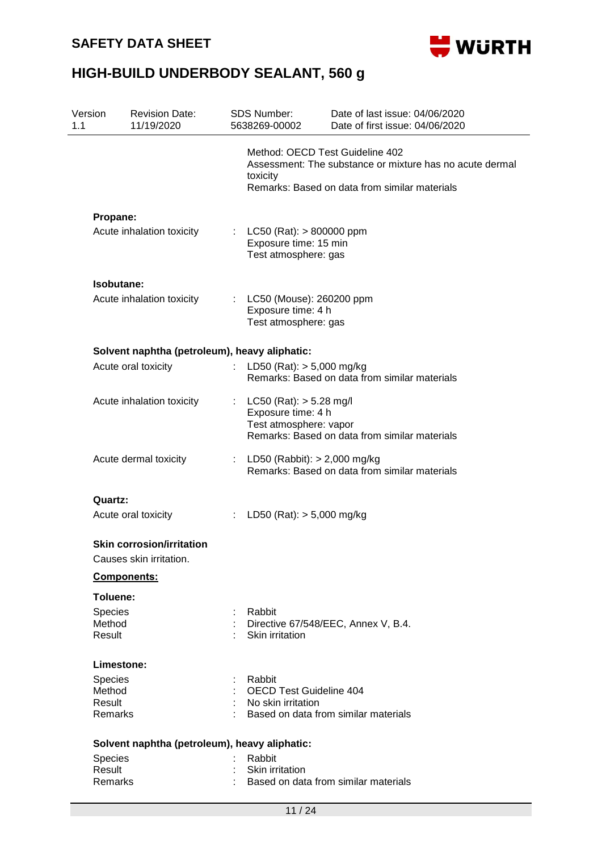

| Version<br>1.1              | <b>Revision Date:</b><br>11/19/2020                         |    | <b>SDS Number:</b><br>5638269-00002                                           | Date of last issue: 04/06/2020<br>Date of first issue: 04/06/2020                                                                            |  |  |
|-----------------------------|-------------------------------------------------------------|----|-------------------------------------------------------------------------------|----------------------------------------------------------------------------------------------------------------------------------------------|--|--|
|                             |                                                             |    | toxicity                                                                      | Method: OECD Test Guideline 402<br>Assessment: The substance or mixture has no acute dermal<br>Remarks: Based on data from similar materials |  |  |
| Propane:                    |                                                             |    |                                                                               |                                                                                                                                              |  |  |
|                             | Acute inhalation toxicity                                   |    | : LC50 (Rat): $> 800000$ ppm<br>Exposure time: 15 min<br>Test atmosphere: gas |                                                                                                                                              |  |  |
|                             | Isobutane:                                                  |    |                                                                               |                                                                                                                                              |  |  |
|                             | Acute inhalation toxicity                                   |    | : LC50 (Mouse): 260200 ppm<br>Exposure time: 4 h<br>Test atmosphere: gas      |                                                                                                                                              |  |  |
|                             | Solvent naphtha (petroleum), heavy aliphatic:               |    |                                                                               |                                                                                                                                              |  |  |
|                             | Acute oral toxicity                                         |    | LD50 (Rat): $> 5,000$ mg/kg                                                   | Remarks: Based on data from similar materials                                                                                                |  |  |
|                             | Acute inhalation toxicity                                   | t. | $LC50$ (Rat): $> 5.28$ mg/l<br>Exposure time: 4 h<br>Test atmosphere: vapor   | Remarks: Based on data from similar materials                                                                                                |  |  |
|                             | Acute dermal toxicity                                       |    | : LD50 (Rabbit): $> 2,000$ mg/kg                                              | Remarks: Based on data from similar materials                                                                                                |  |  |
| Quartz:                     |                                                             |    |                                                                               |                                                                                                                                              |  |  |
|                             | Acute oral toxicity                                         | t. | LD50 (Rat): $> 5,000$ mg/kg                                                   |                                                                                                                                              |  |  |
|                             | <b>Skin corrosion/irritation</b><br>Causes skin irritation. |    |                                                                               |                                                                                                                                              |  |  |
|                             | <b>Components:</b>                                          |    |                                                                               |                                                                                                                                              |  |  |
| Toluene:                    |                                                             |    |                                                                               |                                                                                                                                              |  |  |
| Species<br>Method<br>Result |                                                             |    | Rabbit<br>Skin irritation                                                     | Directive 67/548/EEC, Annex V, B.4.                                                                                                          |  |  |
|                             | Limestone:                                                  |    |                                                                               |                                                                                                                                              |  |  |
| <b>Species</b>              |                                                             |    | Rabbit                                                                        |                                                                                                                                              |  |  |
| Method                      |                                                             |    | <b>OECD Test Guideline 404</b>                                                |                                                                                                                                              |  |  |
| Result<br>Remarks           |                                                             |    | No skin irritation                                                            | Based on data from similar materials                                                                                                         |  |  |
|                             | Solvent naphtha (petroleum), heavy aliphatic:               |    |                                                                               |                                                                                                                                              |  |  |
| Species                     |                                                             |    | Rabbit                                                                        |                                                                                                                                              |  |  |
| Result                      |                                                             |    | Skin irritation                                                               |                                                                                                                                              |  |  |
| Remarks                     |                                                             |    | Based on data from similar materials                                          |                                                                                                                                              |  |  |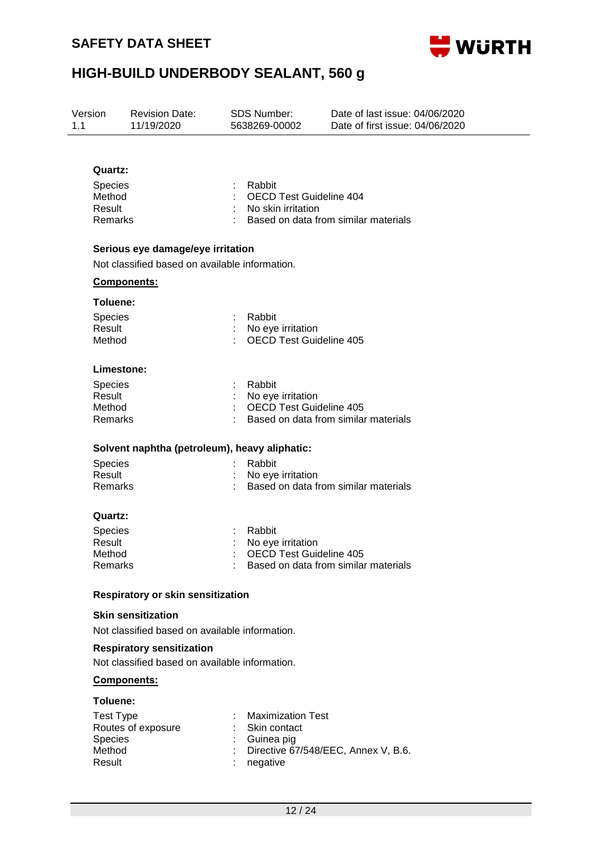

| 1.1 | Version<br><b>Revision Date:</b><br>11/19/2020           |                                                                                     | SDS Number:<br>5638269-00002                                       | Date of last issue: 04/06/2020<br>Date of first issue: 04/06/2020 |
|-----|----------------------------------------------------------|-------------------------------------------------------------------------------------|--------------------------------------------------------------------|-------------------------------------------------------------------|
|     |                                                          |                                                                                     |                                                                    |                                                                   |
|     | Quartz:<br>Species<br>Method<br>Result<br><b>Remarks</b> |                                                                                     | Rabbit<br><b>OECD Test Guideline 404</b><br>No skin irritation     | Based on data from similar materials                              |
|     |                                                          | Serious eye damage/eye irritation<br>Not classified based on available information. |                                                                    |                                                                   |
|     |                                                          | <b>Components:</b>                                                                  |                                                                    |                                                                   |
|     |                                                          |                                                                                     |                                                                    |                                                                   |
|     | Toluene:<br>Species<br>Result<br>Method                  |                                                                                     | Rabbit<br>No eye irritation<br><b>OECD Test Guideline 405</b>      |                                                                   |
|     | Limestone:                                               |                                                                                     |                                                                    |                                                                   |
|     | <b>Species</b><br>Result<br>Method<br>Remarks            |                                                                                     | Rabbit<br>No eye irritation<br><b>OECD Test Guideline 405</b>      | Based on data from similar materials                              |
|     |                                                          | Solvent naphtha (petroleum), heavy aliphatic:                                       |                                                                    |                                                                   |
|     | Species<br>Result<br>Remarks                             |                                                                                     | Rabbit<br>No eye irritation                                        | Based on data from similar materials                              |
|     | Quartz:                                                  |                                                                                     |                                                                    |                                                                   |
|     | Species<br>Result<br>Method<br>Remarks                   |                                                                                     | Rabbit<br>No eye irritation<br>OECD Test Guideline 405             | Based on data from similar materials                              |
|     |                                                          | <b>Respiratory or skin sensitization</b>                                            |                                                                    |                                                                   |
|     |                                                          | <b>Skin sensitization</b><br>Not classified based on available information.         |                                                                    |                                                                   |
|     |                                                          | <b>Respiratory sensitization</b><br>Not classified based on available information.  |                                                                    |                                                                   |
|     |                                                          | Components:                                                                         |                                                                    |                                                                   |
|     | Toluene:                                                 |                                                                                     |                                                                    |                                                                   |
|     | <b>Test Type</b><br><b>Species</b><br>Method<br>Result   | Routes of exposure                                                                  | <b>Maximization Test</b><br>Skin contact<br>Guinea pig<br>negative | Directive 67/548/EEC, Annex V, B.6.                               |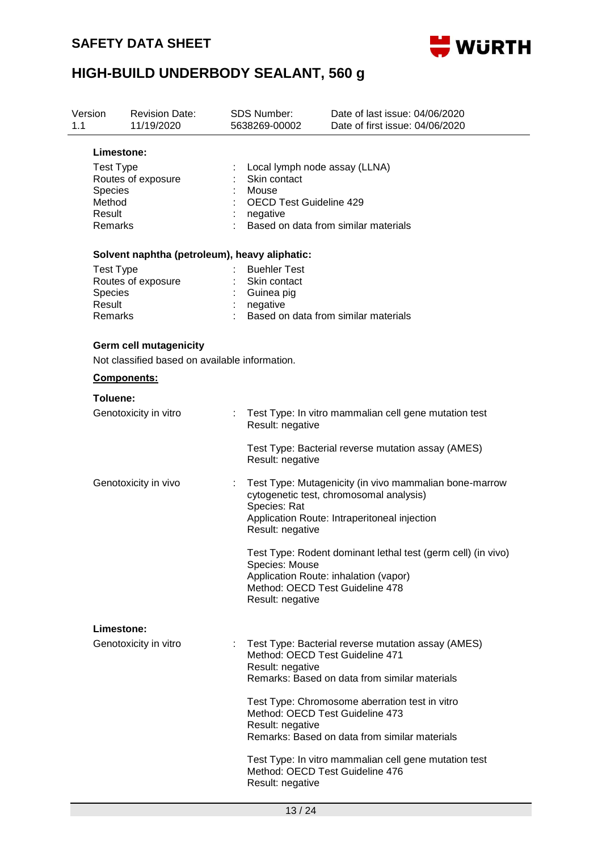

| Version<br>1.1                                | <b>Revision Date:</b><br>11/19/2020                                             | <b>SDS Number:</b><br>5638269-00002                           | Date of last issue: 04/06/2020<br>Date of first issue: 04/06/2020                                                                                                              |  |  |  |  |
|-----------------------------------------------|---------------------------------------------------------------------------------|---------------------------------------------------------------|--------------------------------------------------------------------------------------------------------------------------------------------------------------------------------|--|--|--|--|
| <b>Species</b><br>Method<br>Result<br>Remarks | Limestone:<br><b>Test Type</b><br>Routes of exposure                            | Skin contact<br>Mouse<br>negative                             | Local lymph node assay (LLNA)<br><b>OECD Test Guideline 429</b><br>Based on data from similar materials                                                                        |  |  |  |  |
|                                               | Solvent naphtha (petroleum), heavy aliphatic:                                   |                                                               |                                                                                                                                                                                |  |  |  |  |
| <b>Species</b><br>Result<br>Remarks           | <b>Test Type</b><br>Routes of exposure                                          | <b>Buehler Test</b><br>Skin contact<br>Guinea pig<br>negative | Based on data from similar materials                                                                                                                                           |  |  |  |  |
|                                               | <b>Germ cell mutagenicity</b><br>Not classified based on available information. |                                                               |                                                                                                                                                                                |  |  |  |  |
|                                               | Components:                                                                     |                                                               |                                                                                                                                                                                |  |  |  |  |
| Toluene:                                      | Genotoxicity in vitro                                                           |                                                               | Test Type: In vitro mammalian cell gene mutation test<br>Result: negative                                                                                                      |  |  |  |  |
|                                               |                                                                                 |                                                               | Test Type: Bacterial reverse mutation assay (AMES)<br>Result: negative                                                                                                         |  |  |  |  |
|                                               | Genotoxicity in vivo                                                            | Species: Rat                                                  | Test Type: Mutagenicity (in vivo mammalian bone-marrow<br>cytogenetic test, chromosomal analysis)<br>Application Route: Intraperitoneal injection<br>Result: negative          |  |  |  |  |
|                                               |                                                                                 |                                                               | Test Type: Rodent dominant lethal test (germ cell) (in vivo)<br>Species: Mouse<br>Application Route: inhalation (vapor)<br>Method: OECD Test Guideline 478<br>Result: negative |  |  |  |  |
|                                               | Limestone:                                                                      |                                                               |                                                                                                                                                                                |  |  |  |  |
|                                               | Genotoxicity in vitro                                                           | Result: negative                                              | Test Type: Bacterial reverse mutation assay (AMES)<br>Method: OECD Test Guideline 471<br>Remarks: Based on data from similar materials                                         |  |  |  |  |
|                                               |                                                                                 | Result: negative                                              | Test Type: Chromosome aberration test in vitro<br>Method: OECD Test Guideline 473<br>Remarks: Based on data from similar materials                                             |  |  |  |  |
|                                               |                                                                                 | Result: negative                                              | Test Type: In vitro mammalian cell gene mutation test<br>Method: OECD Test Guideline 476                                                                                       |  |  |  |  |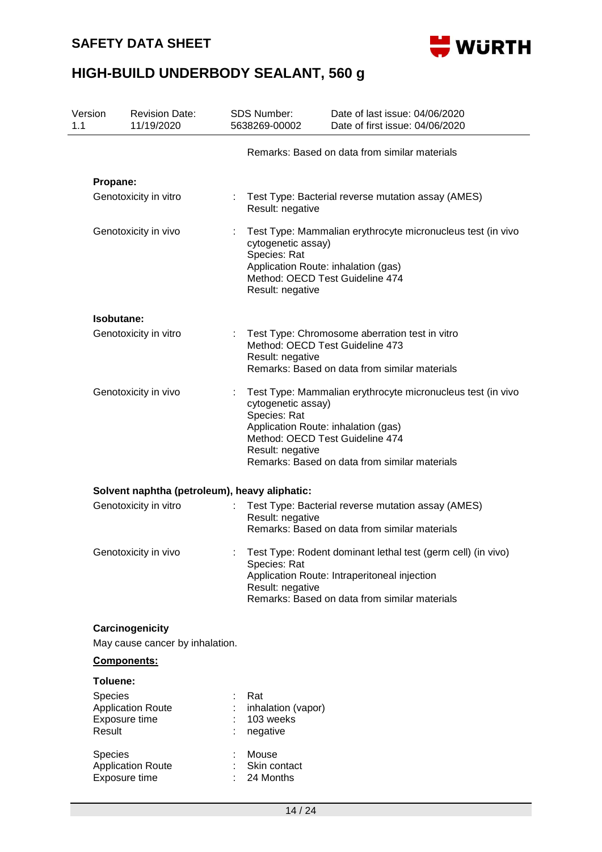

| Version<br>1.1 | <b>Revision Date:</b><br>11/19/2020                            |  | SDS Number:<br>5638269-00002                                                                                                     | Date of last issue: 04/06/2020<br>Date of first issue: 04/06/2020                                                                                             |
|----------------|----------------------------------------------------------------|--|----------------------------------------------------------------------------------------------------------------------------------|---------------------------------------------------------------------------------------------------------------------------------------------------------------|
|                |                                                                |  |                                                                                                                                  | Remarks: Based on data from similar materials                                                                                                                 |
|                | Propane:                                                       |  |                                                                                                                                  |                                                                                                                                                               |
|                | Genotoxicity in vitro                                          |  | Result: negative                                                                                                                 | Test Type: Bacterial reverse mutation assay (AMES)                                                                                                            |
|                | Genotoxicity in vivo                                           |  | cytogenetic assay)<br>Species: Rat<br>Application Route: inhalation (gas)<br>Method: OECD Test Guideline 474<br>Result: negative | Test Type: Mammalian erythrocyte micronucleus test (in vivo                                                                                                   |
|                | Isobutane:                                                     |  |                                                                                                                                  |                                                                                                                                                               |
|                | Genotoxicity in vitro                                          |  | Method: OECD Test Guideline 473<br>Result: negative                                                                              | Test Type: Chromosome aberration test in vitro<br>Remarks: Based on data from similar materials                                                               |
|                | Genotoxicity in vivo                                           |  | cytogenetic assay)<br>Species: Rat<br>Application Route: inhalation (gas)<br>Method: OECD Test Guideline 474<br>Result: negative | Test Type: Mammalian erythrocyte micronucleus test (in vivo<br>Remarks: Based on data from similar materials                                                  |
|                | Solvent naphtha (petroleum), heavy aliphatic:                  |  |                                                                                                                                  |                                                                                                                                                               |
|                | Genotoxicity in vitro                                          |  | Result: negative                                                                                                                 | Test Type: Bacterial reverse mutation assay (AMES)<br>Remarks: Based on data from similar materials                                                           |
|                | Genotoxicity in vivo                                           |  | Species: Rat<br>Result: negative                                                                                                 | Test Type: Rodent dominant lethal test (germ cell) (in vivo)<br>Application Route: Intraperitoneal injection<br>Remarks: Based on data from similar materials |
|                | Carcinogenicity<br>May cause cancer by inhalation.             |  |                                                                                                                                  |                                                                                                                                                               |
|                | Components:                                                    |  |                                                                                                                                  |                                                                                                                                                               |
|                | Toluene:                                                       |  |                                                                                                                                  |                                                                                                                                                               |
|                | Species<br><b>Application Route</b><br>Exposure time<br>Result |  | Rat<br>inhalation (vapor)<br>103 weeks<br>negative                                                                               |                                                                                                                                                               |
|                | Species<br><b>Application Route</b><br>Exposure time           |  | Mouse<br>Skin contact<br>24 Months                                                                                               |                                                                                                                                                               |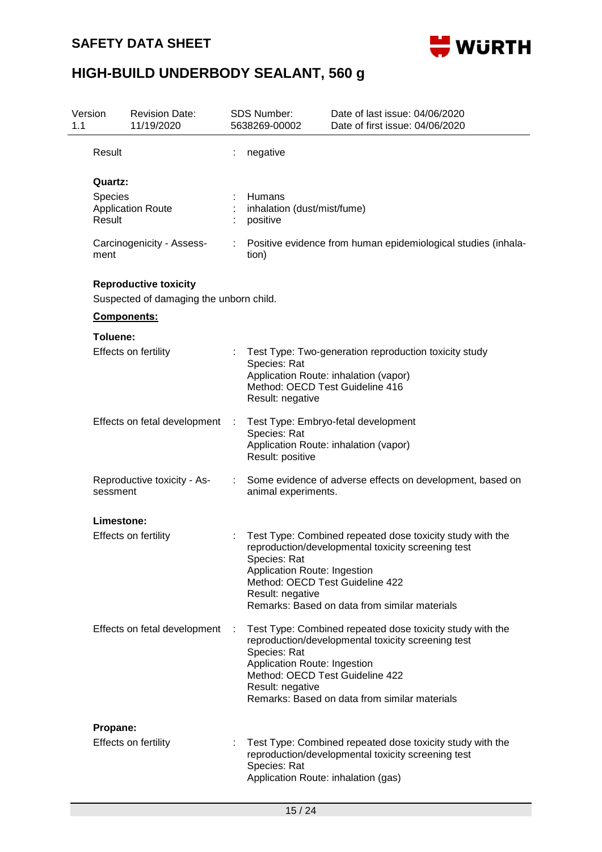

| 1.1 | Version                           | <b>Revision Date:</b><br>11/19/2020                                     |                                                                                                                                                                                                                                                                              | SDS Number:<br>5638269-00002                                                                        | Date of last issue: 04/06/2020<br>Date of first issue: 04/06/2020                                                                                                |  |  |  |  |
|-----|-----------------------------------|-------------------------------------------------------------------------|------------------------------------------------------------------------------------------------------------------------------------------------------------------------------------------------------------------------------------------------------------------------------|-----------------------------------------------------------------------------------------------------|------------------------------------------------------------------------------------------------------------------------------------------------------------------|--|--|--|--|
|     | Result                            |                                                                         |                                                                                                                                                                                                                                                                              | negative                                                                                            |                                                                                                                                                                  |  |  |  |  |
|     | Quartz:<br>Species                |                                                                         |                                                                                                                                                                                                                                                                              | Humans                                                                                              |                                                                                                                                                                  |  |  |  |  |
|     | Result                            | <b>Application Route</b>                                                |                                                                                                                                                                                                                                                                              | inhalation (dust/mist/fume)<br>positive                                                             |                                                                                                                                                                  |  |  |  |  |
|     | Carcinogenicity - Assess-<br>ment |                                                                         |                                                                                                                                                                                                                                                                              | Positive evidence from human epidemiological studies (inhala-<br>tion)                              |                                                                                                                                                                  |  |  |  |  |
|     |                                   | <b>Reproductive toxicity</b><br>Suspected of damaging the unborn child. |                                                                                                                                                                                                                                                                              |                                                                                                     |                                                                                                                                                                  |  |  |  |  |
|     |                                   | Components:                                                             |                                                                                                                                                                                                                                                                              |                                                                                                     |                                                                                                                                                                  |  |  |  |  |
|     | Toluene:                          |                                                                         |                                                                                                                                                                                                                                                                              |                                                                                                     |                                                                                                                                                                  |  |  |  |  |
|     |                                   | Effects on fertility                                                    |                                                                                                                                                                                                                                                                              | Species: Rat<br>Method: OECD Test Guideline 416<br>Result: negative                                 | Test Type: Two-generation reproduction toxicity study<br>Application Route: inhalation (vapor)                                                                   |  |  |  |  |
|     |                                   | Effects on fetal development                                            | ÷                                                                                                                                                                                                                                                                            | Species: Rat<br>Result: positive                                                                    | Test Type: Embryo-fetal development<br>Application Route: inhalation (vapor)                                                                                     |  |  |  |  |
|     | sessment                          | Reproductive toxicity - As-                                             |                                                                                                                                                                                                                                                                              | Some evidence of adverse effects on development, based on<br>animal experiments.                    |                                                                                                                                                                  |  |  |  |  |
|     | Limestone:                        |                                                                         |                                                                                                                                                                                                                                                                              |                                                                                                     |                                                                                                                                                                  |  |  |  |  |
|     |                                   | Effects on fertility                                                    |                                                                                                                                                                                                                                                                              | Species: Rat<br>Application Route: Ingestion<br>Method: OECD Test Guideline 422<br>Result: negative | Test Type: Combined repeated dose toxicity study with the<br>reproduction/developmental toxicity screening test<br>Remarks: Based on data from similar materials |  |  |  |  |
|     |                                   | Effects on fetal development                                            | Test Type: Combined repeated dose toxicity study with the<br>÷<br>reproduction/developmental toxicity screening test<br>Species: Rat<br>Application Route: Ingestion<br>Method: OECD Test Guideline 422<br>Result: negative<br>Remarks: Based on data from similar materials |                                                                                                     |                                                                                                                                                                  |  |  |  |  |
|     | Propane:                          |                                                                         |                                                                                                                                                                                                                                                                              |                                                                                                     |                                                                                                                                                                  |  |  |  |  |
|     |                                   | <b>Effects on fertility</b>                                             |                                                                                                                                                                                                                                                                              | Species: Rat<br>Application Route: inhalation (gas)                                                 | Test Type: Combined repeated dose toxicity study with the<br>reproduction/developmental toxicity screening test                                                  |  |  |  |  |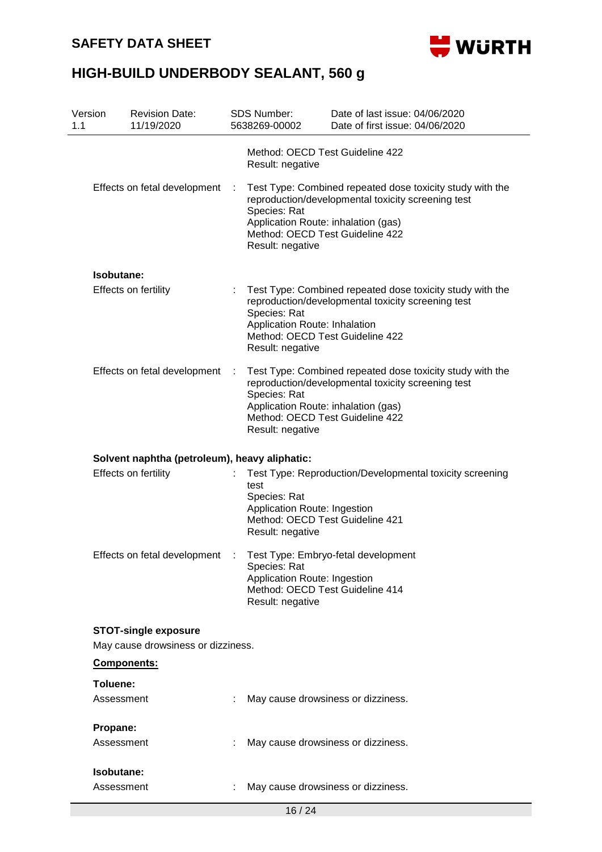### **SAFETY DATA SHEET**



| Version<br>1.1 | <b>Revision Date:</b><br>11/19/2020           | <b>SDS Number:</b><br>5638269-00002 |                  | Date of last issue: 04/06/2020<br>Date of first issue: 04/06/2020                                                                                                                         |
|----------------|-----------------------------------------------|-------------------------------------|------------------|-------------------------------------------------------------------------------------------------------------------------------------------------------------------------------------------|
|                |                                               |                                     | Result: negative | Method: OECD Test Guideline 422                                                                                                                                                           |
|                | Effects on fetal development                  | Species: Rat                        | Result: negative | Test Type: Combined repeated dose toxicity study with the<br>reproduction/developmental toxicity screening test<br>Application Route: inhalation (gas)<br>Method: OECD Test Guideline 422 |
|                | Isobutane:                                    |                                     |                  |                                                                                                                                                                                           |
|                | <b>Effects on fertility</b>                   | Species: Rat                        | Result: negative | Test Type: Combined repeated dose toxicity study with the<br>reproduction/developmental toxicity screening test<br>Application Route: Inhalation<br>Method: OECD Test Guideline 422       |
|                | Effects on fetal development                  | $\mathbb{R}$<br>Species: Rat        | Result: negative | Test Type: Combined repeated dose toxicity study with the<br>reproduction/developmental toxicity screening test<br>Application Route: inhalation (gas)<br>Method: OECD Test Guideline 422 |
|                | Solvent naphtha (petroleum), heavy aliphatic: |                                     |                  |                                                                                                                                                                                           |
|                | Effects on fertility                          | test<br>Species: Rat                | Result: negative | Test Type: Reproduction/Developmental toxicity screening<br>Application Route: Ingestion<br>Method: OECD Test Guideline 421                                                               |
|                | Effects on fetal development                  | Species: Rat                        | Result: negative | Test Type: Embryo-fetal development<br>Application Route: Ingestion<br>Method: OECD Test Guideline 414                                                                                    |
|                | <b>STOT-single exposure</b>                   |                                     |                  |                                                                                                                                                                                           |
|                | May cause drowsiness or dizziness.            |                                     |                  |                                                                                                                                                                                           |
|                | Components:                                   |                                     |                  |                                                                                                                                                                                           |
|                | Toluene:                                      |                                     |                  |                                                                                                                                                                                           |
|                | Assessment                                    |                                     |                  | May cause drowsiness or dizziness.                                                                                                                                                        |
|                | Propane:                                      |                                     |                  |                                                                                                                                                                                           |
|                | Assessment                                    |                                     |                  | May cause drowsiness or dizziness.                                                                                                                                                        |
|                | Isobutane:                                    |                                     |                  |                                                                                                                                                                                           |
|                | Assessment                                    |                                     |                  | May cause drowsiness or dizziness.                                                                                                                                                        |
|                |                                               |                                     | 16/24            |                                                                                                                                                                                           |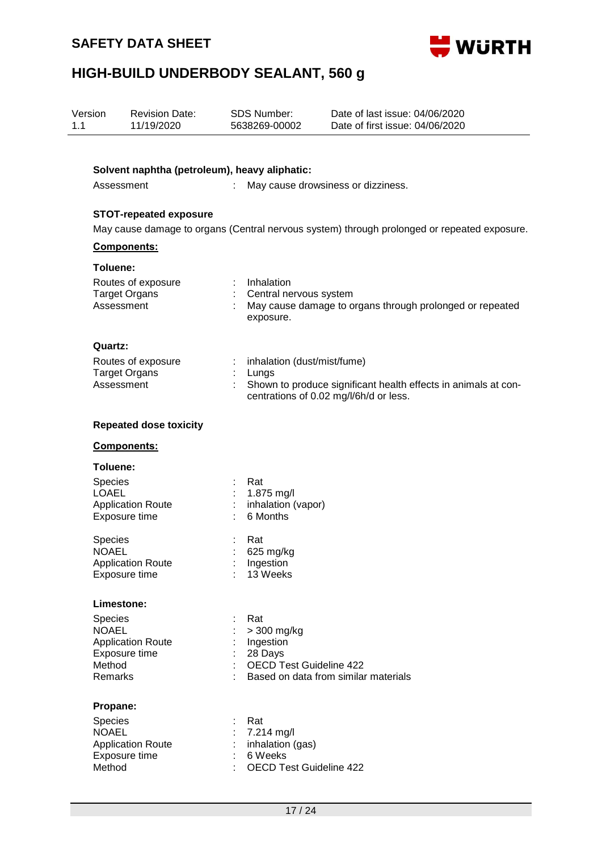

| Version<br>1.1 |                                                     | <b>Revision Date:</b><br>11/19/2020                      | <b>SDS Number:</b><br>5638269-00002                                                | Date of last issue: 04/06/2020<br>Date of first issue: 04/06/2020                                        |
|----------------|-----------------------------------------------------|----------------------------------------------------------|------------------------------------------------------------------------------------|----------------------------------------------------------------------------------------------------------|
|                |                                                     |                                                          |                                                                                    |                                                                                                          |
|                |                                                     | Assessment                                               | Solvent naphtha (petroleum), heavy aliphatic:                                      | May cause drowsiness or dizziness.                                                                       |
|                |                                                     | <b>STOT-repeated exposure</b>                            |                                                                                    |                                                                                                          |
|                |                                                     | Components:                                              |                                                                                    | May cause damage to organs (Central nervous system) through prolonged or repeated exposure.              |
|                | Toluene:                                            |                                                          |                                                                                    |                                                                                                          |
|                |                                                     | Routes of exposure<br><b>Target Organs</b><br>Assessment | Inhalation<br>Central nervous system<br>exposure.                                  | May cause damage to organs through prolonged or repeated                                                 |
|                | Quartz:                                             |                                                          |                                                                                    |                                                                                                          |
|                |                                                     | Routes of exposure<br><b>Target Organs</b><br>Assessment | inhalation (dust/mist/fume)<br>Lungs                                               | Shown to produce significant health effects in animals at con-<br>centrations of 0.02 mg/l/6h/d or less. |
|                |                                                     | <b>Repeated dose toxicity</b>                            |                                                                                    |                                                                                                          |
|                |                                                     | Components:                                              |                                                                                    |                                                                                                          |
|                | Toluene:                                            |                                                          |                                                                                    |                                                                                                          |
|                | Species<br><b>LOAEL</b>                             | <b>Application Route</b><br>Exposure time                | Rat<br>1.875 mg/l<br>inhalation (vapor)<br>6 Months                                |                                                                                                          |
|                | Species<br><b>NOAEL</b>                             | <b>Application Route</b><br>Exposure time                | Rat<br>625 mg/kg<br>Ingestion<br>13 Weeks                                          |                                                                                                          |
|                |                                                     | Limestone:                                               |                                                                                    |                                                                                                          |
|                | <b>Species</b><br><b>NOAEL</b><br>Method<br>Remarks | <b>Application Route</b><br>Exposure time                | Rat<br>> 300 mg/kg<br>Ingestion<br>28 Days<br><b>OECD Test Guideline 422</b>       | Based on data from similar materials                                                                     |
|                | Propane:                                            |                                                          |                                                                                    |                                                                                                          |
|                | Species<br><b>NOAEL</b><br>Method                   | <b>Application Route</b><br>Exposure time                | Rat<br>7.214 mg/l<br>inhalation (gas)<br>6 Weeks<br><b>OECD Test Guideline 422</b> |                                                                                                          |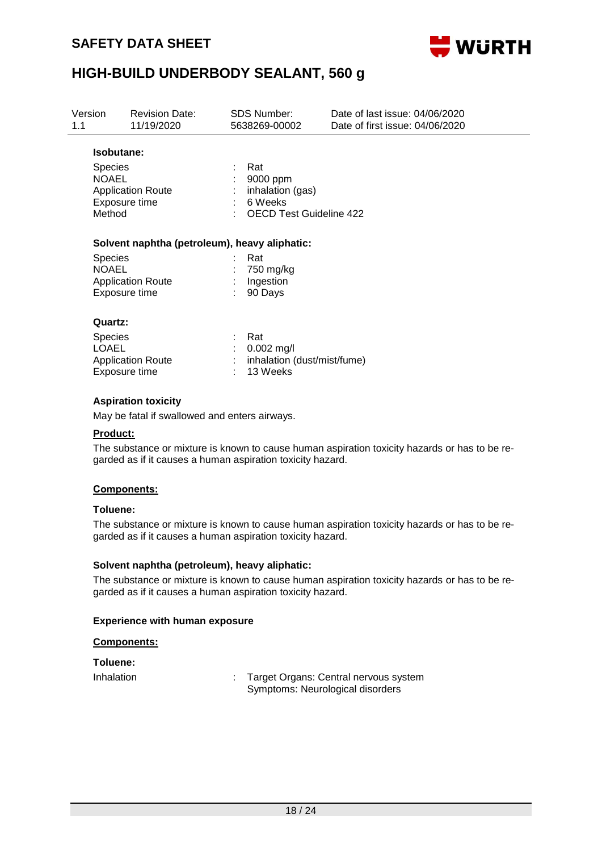

| Version<br>1.1 |                                                                                                                              | <b>Revision Date:</b><br>11/19/2020 | SDS Number:<br>5638269-00002                                                     | Date of last issue: 04/06/2020<br>Date of first issue: 04/06/2020 |  |  |
|----------------|------------------------------------------------------------------------------------------------------------------------------|-------------------------------------|----------------------------------------------------------------------------------|-------------------------------------------------------------------|--|--|
|                | Isobutane:                                                                                                                   |                                     |                                                                                  |                                                                   |  |  |
|                | <b>Species</b><br><b>NOAEL</b><br><b>Application Route</b><br>Exposure time<br>Method                                        |                                     | Rat<br>9000 ppm<br>inhalation (gas)<br>6 Weeks<br><b>OECD Test Guideline 422</b> |                                                                   |  |  |
|                | Solvent naphtha (petroleum), heavy aliphatic:<br><b>Species</b><br><b>NOAEL</b><br><b>Application Route</b><br>Exposure time |                                     |                                                                                  |                                                                   |  |  |
|                |                                                                                                                              |                                     | Rat<br>750 mg/kg<br>Ingestion<br>90 Days                                         |                                                                   |  |  |
|                | Quartz:                                                                                                                      |                                     |                                                                                  |                                                                   |  |  |
|                | Species<br>LOAEL<br>Exposure time                                                                                            | <b>Application Route</b>            | Rat<br>$0.002$ mg/l<br>inhalation (dust/mist/fume)<br>13 Weeks                   |                                                                   |  |  |
|                |                                                                                                                              | Acnivation tovioity                 |                                                                                  |                                                                   |  |  |

#### **Aspiration toxicity**

May be fatal if swallowed and enters airways.

#### **Product:**

The substance or mixture is known to cause human aspiration toxicity hazards or has to be regarded as if it causes a human aspiration toxicity hazard.

#### **Components:**

#### **Toluene:**

The substance or mixture is known to cause human aspiration toxicity hazards or has to be regarded as if it causes a human aspiration toxicity hazard.

#### **Solvent naphtha (petroleum), heavy aliphatic:**

The substance or mixture is known to cause human aspiration toxicity hazards or has to be regarded as if it causes a human aspiration toxicity hazard.

#### **Experience with human exposure**

#### **Components:**

**Toluene:**

Inhalation : Target Organs: Central nervous system Symptoms: Neurological disorders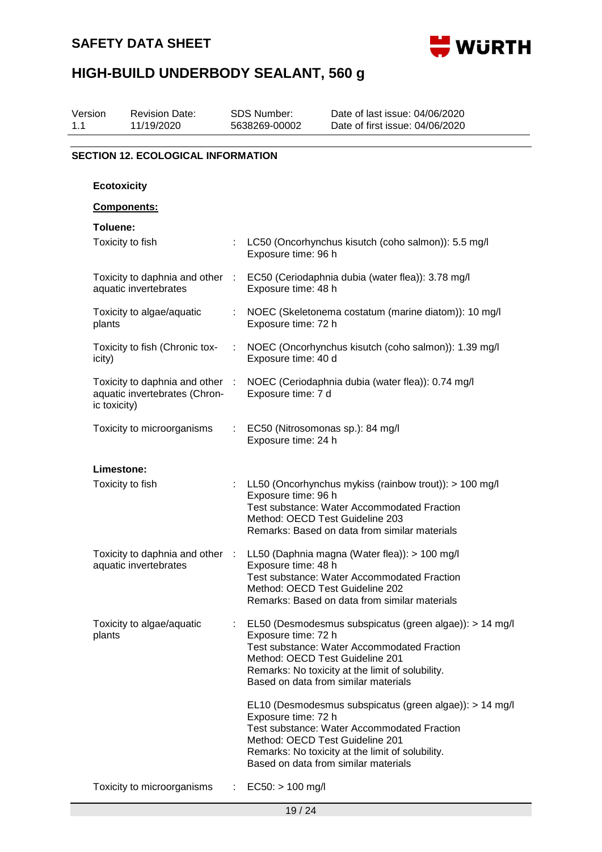



| Version<br>1.1 |                                           | <b>Revision Date:</b><br>11/19/2020                            |           | <b>SDS Number:</b><br>5638269-00002                     | Date of last issue: 04/06/2020<br>Date of first issue: 04/06/2020                                                                                                                                         |  |  |
|----------------|-------------------------------------------|----------------------------------------------------------------|-----------|---------------------------------------------------------|-----------------------------------------------------------------------------------------------------------------------------------------------------------------------------------------------------------|--|--|
|                | <b>SECTION 12. ECOLOGICAL INFORMATION</b> |                                                                |           |                                                         |                                                                                                                                                                                                           |  |  |
|                |                                           |                                                                |           |                                                         |                                                                                                                                                                                                           |  |  |
|                | <b>Ecotoxicity</b>                        |                                                                |           |                                                         |                                                                                                                                                                                                           |  |  |
|                |                                           | Components:                                                    |           |                                                         |                                                                                                                                                                                                           |  |  |
|                | Toluene:                                  | Toxicity to fish                                               |           | Exposure time: 96 h                                     | LC50 (Oncorhynchus kisutch (coho salmon)): 5.5 mg/l                                                                                                                                                       |  |  |
|                |                                           | Toxicity to daphnia and other :<br>aquatic invertebrates       |           | Exposure time: 48 h                                     | EC50 (Ceriodaphnia dubia (water flea)): 3.78 mg/l                                                                                                                                                         |  |  |
|                | plants                                    | Toxicity to algae/aquatic                                      |           | Exposure time: 72 h                                     | NOEC (Skeletonema costatum (marine diatom)): 10 mg/l                                                                                                                                                      |  |  |
|                | icity)                                    | Toxicity to fish (Chronic tox-                                 | ÷         | Exposure time: 40 d                                     | NOEC (Oncorhynchus kisutch (coho salmon)): 1.39 mg/l                                                                                                                                                      |  |  |
|                | ic toxicity)                              | Toxicity to daphnia and other<br>aquatic invertebrates (Chron- | $\sim$ 1. | Exposure time: 7 d                                      | NOEC (Ceriodaphnia dubia (water flea)): 0.74 mg/l                                                                                                                                                         |  |  |
|                |                                           | Toxicity to microorganisms                                     |           | EC50 (Nitrosomonas sp.): 84 mg/l<br>Exposure time: 24 h |                                                                                                                                                                                                           |  |  |
|                | Limestone:                                |                                                                |           |                                                         |                                                                                                                                                                                                           |  |  |
|                |                                           | Toxicity to fish                                               |           | Exposure time: 96 h<br>Method: OECD Test Guideline 203  | LL50 (Oncorhynchus mykiss (rainbow trout)): > 100 mg/l<br><b>Test substance: Water Accommodated Fraction</b><br>Remarks: Based on data from similar materials                                             |  |  |
|                |                                           | Toxicity to daphnia and other<br>aquatic invertebrates         |           | Exposure time: 48 h<br>Method: OECD Test Guideline 202  | LL50 (Daphnia magna (Water flea)): > 100 mg/l<br><b>Test substance: Water Accommodated Fraction</b><br>Remarks: Based on data from similar materials                                                      |  |  |
|                | plants                                    | Toxicity to algae/aquatic                                      |           | Exposure time: 72 h<br>Method: OECD Test Guideline 201  | EL50 (Desmodesmus subspicatus (green algae)): > 14 mg/l<br><b>Test substance: Water Accommodated Fraction</b><br>Remarks: No toxicity at the limit of solubility.<br>Based on data from similar materials |  |  |
|                |                                           |                                                                |           | Exposure time: 72 h<br>Method: OECD Test Guideline 201  | EL10 (Desmodesmus subspicatus (green algae)): > 14 mg/l<br><b>Test substance: Water Accommodated Fraction</b><br>Remarks: No toxicity at the limit of solubility.<br>Based on data from similar materials |  |  |
|                |                                           | Toxicity to microorganisms                                     |           | $EC50:$ > 100 mg/l                                      |                                                                                                                                                                                                           |  |  |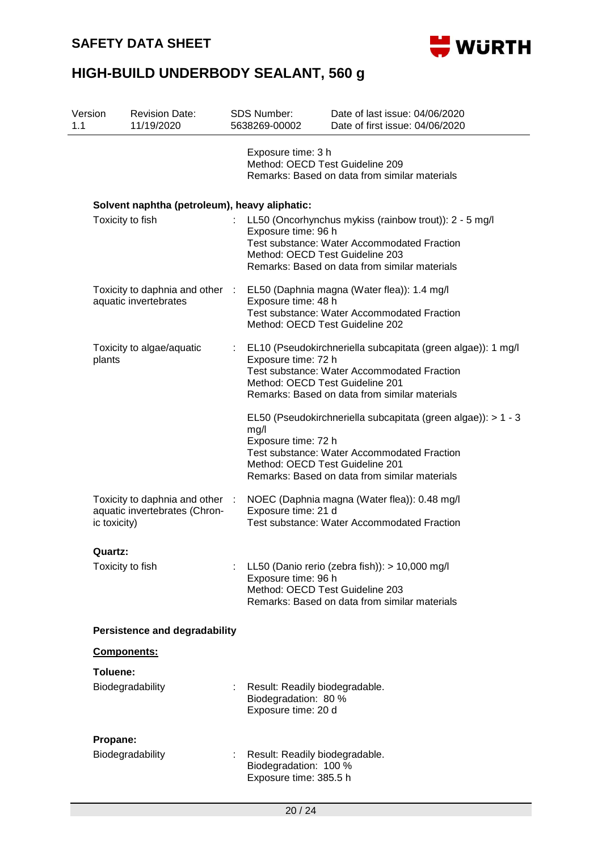

| Version<br>1.1 |                  | <b>Revision Date:</b><br>11/19/2020                              |    | <b>SDS Number:</b><br>5638269-00002                                               | Date of last issue: 04/06/2020<br>Date of first issue: 04/06/2020                                                                                                    |
|----------------|------------------|------------------------------------------------------------------|----|-----------------------------------------------------------------------------------|----------------------------------------------------------------------------------------------------------------------------------------------------------------------|
|                |                  |                                                                  |    | Exposure time: 3 h<br>Method: OECD Test Guideline 209                             | Remarks: Based on data from similar materials                                                                                                                        |
|                |                  | Solvent naphtha (petroleum), heavy aliphatic:                    |    |                                                                                   |                                                                                                                                                                      |
|                | Toxicity to fish |                                                                  |    | Exposure time: 96 h<br>Method: OECD Test Guideline 203                            | LL50 (Oncorhynchus mykiss (rainbow trout)): 2 - 5 mg/l<br><b>Test substance: Water Accommodated Fraction</b><br>Remarks: Based on data from similar materials        |
|                |                  | Toxicity to daphnia and other :<br>aquatic invertebrates         |    | Exposure time: 48 h<br>Method: OECD Test Guideline 202                            | EL50 (Daphnia magna (Water flea)): 1.4 mg/l<br><b>Test substance: Water Accommodated Fraction</b>                                                                    |
|                | plants           | Toxicity to algae/aquatic                                        | ÷. | Exposure time: 72 h<br>Method: OECD Test Guideline 201                            | EL10 (Pseudokirchneriella subcapitata (green algae)): 1 mg/l<br><b>Test substance: Water Accommodated Fraction</b><br>Remarks: Based on data from similar materials  |
|                |                  |                                                                  |    | mg/l<br>Exposure time: 72 h<br>Method: OECD Test Guideline 201                    | EL50 (Pseudokirchneriella subcapitata (green algae)): > 1 - 3<br><b>Test substance: Water Accommodated Fraction</b><br>Remarks: Based on data from similar materials |
|                | ic toxicity)     | Toxicity to daphnia and other :<br>aquatic invertebrates (Chron- |    | Exposure time: 21 d                                                               | NOEC (Daphnia magna (Water flea)): 0.48 mg/l<br><b>Test substance: Water Accommodated Fraction</b>                                                                   |
|                | Quartz:          |                                                                  |    |                                                                                   |                                                                                                                                                                      |
|                | Toxicity to fish |                                                                  |    | Exposure time: 96 h<br>Method: OECD Test Guideline 203                            | LL50 (Danio rerio (zebra fish)): > 10,000 mg/l<br>Remarks: Based on data from similar materials                                                                      |
|                |                  | <b>Persistence and degradability</b>                             |    |                                                                                   |                                                                                                                                                                      |
|                | Components:      |                                                                  |    |                                                                                   |                                                                                                                                                                      |
|                | Toluene:         |                                                                  |    |                                                                                   |                                                                                                                                                                      |
|                |                  | Biodegradability                                                 |    | Result: Readily biodegradable.<br>Biodegradation: 80 %<br>Exposure time: 20 d     |                                                                                                                                                                      |
|                | Propane:         |                                                                  |    |                                                                                   |                                                                                                                                                                      |
|                |                  | Biodegradability                                                 |    | Result: Readily biodegradable.<br>Biodegradation: 100 %<br>Exposure time: 385.5 h |                                                                                                                                                                      |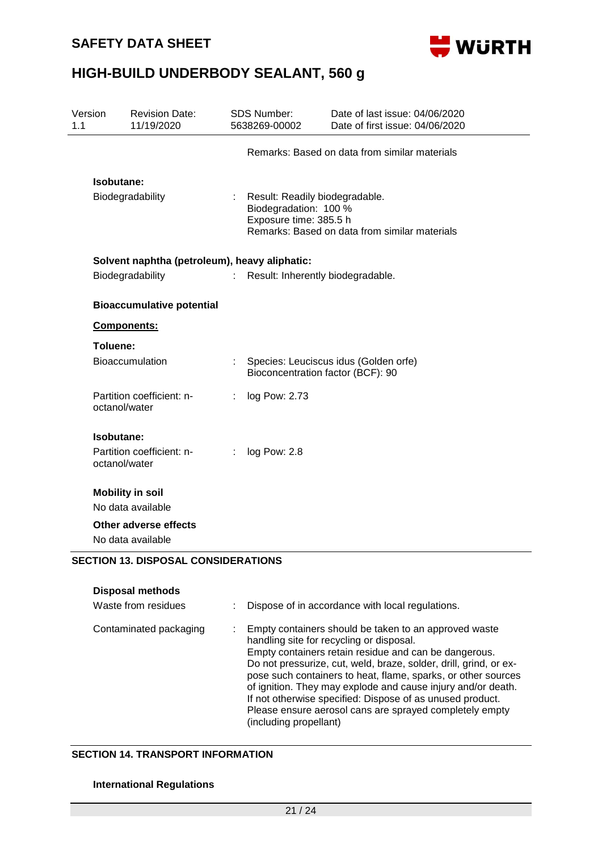

| Version<br>1.1 | <b>Revision Date:</b><br>11/19/2020                                   |   | <b>SDS Number:</b><br>5638269-00002                                               | Date of last issue: 04/06/2020<br>Date of first issue: 04/06/2020 |  |  |
|----------------|-----------------------------------------------------------------------|---|-----------------------------------------------------------------------------------|-------------------------------------------------------------------|--|--|
|                |                                                                       |   |                                                                                   | Remarks: Based on data from similar materials                     |  |  |
|                | <b>Isobutane:</b><br>Biodegradability                                 |   | Result: Readily biodegradable.<br>Biodegradation: 100 %<br>Exposure time: 385.5 h | Remarks: Based on data from similar materials                     |  |  |
|                | Solvent naphtha (petroleum), heavy aliphatic:                         |   |                                                                                   |                                                                   |  |  |
|                | Biodegradability                                                      | ÷ | Result: Inherently biodegradable.                                                 |                                                                   |  |  |
|                | <b>Bioaccumulative potential</b>                                      |   |                                                                                   |                                                                   |  |  |
| Components:    |                                                                       |   |                                                                                   |                                                                   |  |  |
| Toluene:       |                                                                       |   |                                                                                   |                                                                   |  |  |
|                | Bioaccumulation                                                       |   | Bioconcentration factor (BCF): 90                                                 | Species: Leuciscus idus (Golden orfe)                             |  |  |
| octanol/water  | Partition coefficient: n-                                             | ÷ | log Pow: 2.73                                                                     |                                                                   |  |  |
| Isobutane:     |                                                                       |   |                                                                                   |                                                                   |  |  |
| octanol/water  | Partition coefficient: n-                                             | ÷ | log Pow: 2.8                                                                      |                                                                   |  |  |
|                | <b>Mobility in soil</b>                                               |   |                                                                                   |                                                                   |  |  |
|                | No data available                                                     |   |                                                                                   |                                                                   |  |  |
|                | Other adverse effects                                                 |   |                                                                                   |                                                                   |  |  |
|                | No data available                                                     |   |                                                                                   |                                                                   |  |  |
|                | <b>SECTION 13. DISPOSAL CONSIDERATIONS</b><br><b>Disposal methods</b> |   |                                                                                   |                                                                   |  |  |

| Contaminated packaging | Empty containers should be taken to an approved waste<br>handling site for recycling or disposal.<br>Empty containers retain residue and can be dangerous.<br>Do not pressurize, cut, weld, braze, solder, drill, grind, or ex-<br>pose such containers to heat, flame, sparks, or other sources<br>of ignition. They may explode and cause injury and/or death.<br>If not otherwise specified: Dispose of as unused product.<br>Please ensure aerosol cans are sprayed completely empty<br>(including propellant) |
|------------------------|--------------------------------------------------------------------------------------------------------------------------------------------------------------------------------------------------------------------------------------------------------------------------------------------------------------------------------------------------------------------------------------------------------------------------------------------------------------------------------------------------------------------|

Waste from residues : Dispose of in accordance with local regulations.

#### **SECTION 14. TRANSPORT INFORMATION**

#### **International Regulations**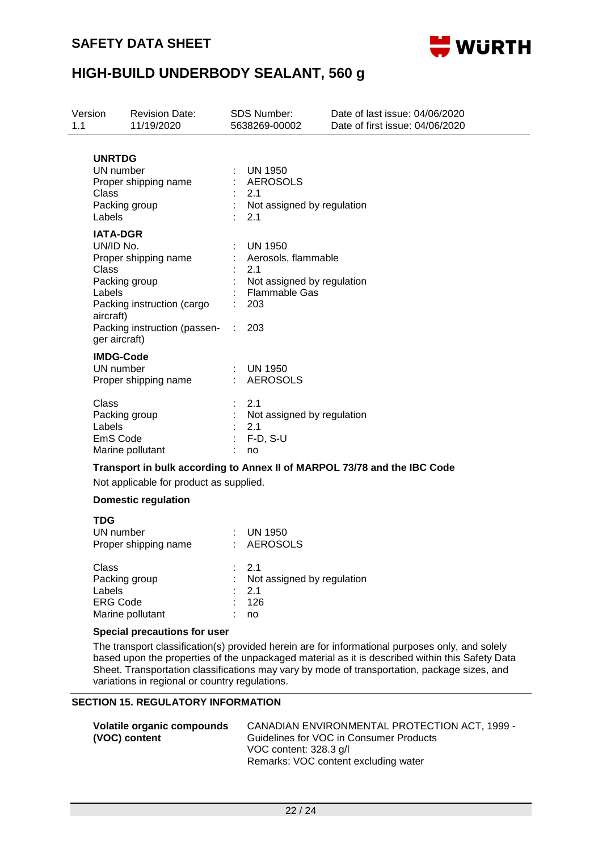

| Version<br>1.1                                                                | <b>Revision Date:</b><br>11/19/2020                                                                 |  | <b>SDS Number:</b><br>5638269-00002                                                                              | Date of last issue: 04/06/2020<br>Date of first issue: 04/06/2020 |  |  |
|-------------------------------------------------------------------------------|-----------------------------------------------------------------------------------------------------|--|------------------------------------------------------------------------------------------------------------------|-------------------------------------------------------------------|--|--|
| <b>UNRTDG</b><br>UN number<br>Class<br>Labels                                 | Proper shipping name<br>Packing group                                                               |  | <b>UN 1950</b><br><b>AEROSOLS</b><br>2.1<br>Not assigned by regulation<br>2.1                                    |                                                                   |  |  |
| <b>IATA-DGR</b><br>UN/ID No.<br>Class<br>Labels<br>aircraft)<br>ger aircraft) | Proper shipping name<br>Packing group<br>Packing instruction (cargo<br>Packing instruction (passen- |  | <b>UN 1950</b><br>Aerosols, flammable<br>2.1<br>Not assigned by regulation<br><b>Flammable Gas</b><br>203<br>203 |                                                                   |  |  |
| UN number                                                                     | <b>IMDG-Code</b><br>Proper shipping name                                                            |  | <b>UN 1950</b><br><b>AEROSOLS</b>                                                                                |                                                                   |  |  |
| Class<br>Labels<br>EmS Code                                                   | Packing group<br>Marine pollutant                                                                   |  | 2.1<br>Not assigned by regulation<br>2.1<br>$F-D, S-U$<br>no                                                     |                                                                   |  |  |
|                                                                               | Not applicable for product as supplied.                                                             |  | Transport in bulk according to Annex II of MARPOL 73/78 and the IBC Code                                         |                                                                   |  |  |
|                                                                               | <b>Domestic regulation</b>                                                                          |  |                                                                                                                  |                                                                   |  |  |
| <b>TDG</b><br>UN number                                                       | Proper shipping name                                                                                |  | <b>UN 1950</b><br><b>AEROSOLS</b>                                                                                |                                                                   |  |  |
| Class<br>Labels<br><b>ERG Code</b>                                            | Packing group                                                                                       |  | 2.1<br>Not assigned by regulation<br>2.1<br>126                                                                  |                                                                   |  |  |

#### **Special precautions for user**

Marine pollutant : no

The transport classification(s) provided herein are for informational purposes only, and solely based upon the properties of the unpackaged material as it is described within this Safety Data Sheet. Transportation classifications may vary by mode of transportation, package sizes, and variations in regional or country regulations.

#### **SECTION 15. REGULATORY INFORMATION**

| Volatile organic compounds | CANADIAN ENVIRONMENTAL PROTECTION ACT, 1999 - |
|----------------------------|-----------------------------------------------|
| (VOC) content              | Guidelines for VOC in Consumer Products       |
|                            | VOC content: 328.3 g/l                        |
|                            | Remarks: VOC content excluding water          |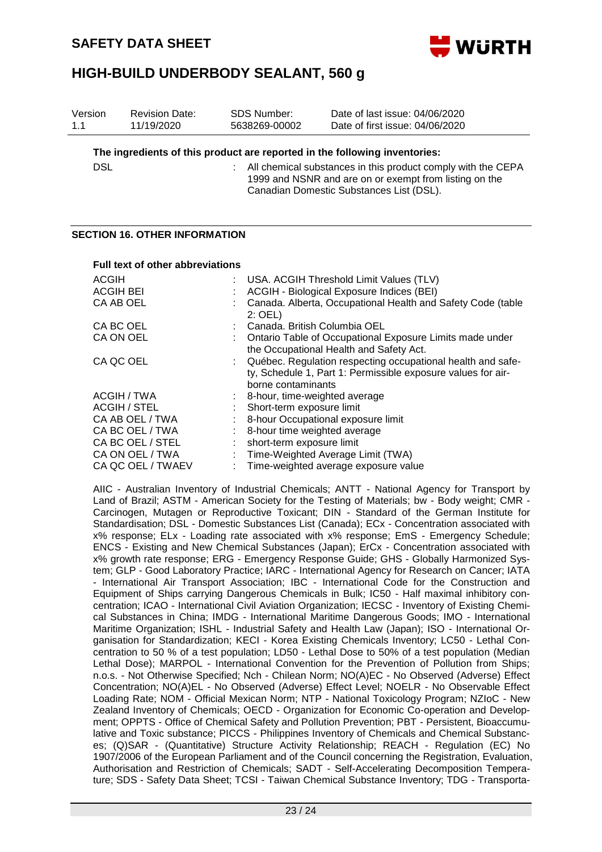

| Version<br>1.1 | <b>Revision Date:</b><br>11/19/2020     |    | <b>SDS Number:</b><br>5638269-00002                                                                                                                                | Date of last issue: 04/06/2020<br>Date of first issue: 04/06/2020                                                           |  |  |
|----------------|-----------------------------------------|----|--------------------------------------------------------------------------------------------------------------------------------------------------------------------|-----------------------------------------------------------------------------------------------------------------------------|--|--|
|                |                                         |    |                                                                                                                                                                    | The ingredients of this product are reported in the following inventories:                                                  |  |  |
| <b>DSL</b>     |                                         | ÷. | All chemical substances in this product comply with the CEPA<br>1999 and NSNR and are on or exempt from listing on the<br>Canadian Domestic Substances List (DSL). |                                                                                                                             |  |  |
|                | <b>SECTION 16. OTHER INFORMATION</b>    |    |                                                                                                                                                                    |                                                                                                                             |  |  |
|                | <b>Full text of other abbreviations</b> |    |                                                                                                                                                                    |                                                                                                                             |  |  |
| <b>ACGIH</b>   |                                         |    |                                                                                                                                                                    | USA. ACGIH Threshold Limit Values (TLV)                                                                                     |  |  |
|                | <b>ACGIH BEI</b>                        |    |                                                                                                                                                                    | ACGIH - Biological Exposure Indices (BEI)                                                                                   |  |  |
|                | CA AB OEL                               |    | $2:$ OEL)                                                                                                                                                          | Canada. Alberta, Occupational Health and Safety Code (table                                                                 |  |  |
|                | CA BC OEL                               |    | Canada. British Columbia OEL                                                                                                                                       |                                                                                                                             |  |  |
|                | CA ON OEL                               |    |                                                                                                                                                                    | Ontario Table of Occupational Exposure Limits made under<br>the Occupational Health and Safety Act.                         |  |  |
|                | CA QC OEL                               |    | borne contaminants                                                                                                                                                 | Québec. Regulation respecting occupational health and safe-<br>ty, Schedule 1, Part 1: Permissible exposure values for air- |  |  |
|                | ACGIH / TWA                             |    | 8-hour, time-weighted average                                                                                                                                      |                                                                                                                             |  |  |
|                | <b>ACGIH / STEL</b>                     |    | Short-term exposure limit                                                                                                                                          |                                                                                                                             |  |  |
|                | CA AB OEL / TWA                         |    |                                                                                                                                                                    | 8-hour Occupational exposure limit                                                                                          |  |  |
|                | CA BC OEL / TWA                         |    | 8-hour time weighted average                                                                                                                                       |                                                                                                                             |  |  |
|                | CA BC OEL / STEL                        |    | short-term exposure limit                                                                                                                                          |                                                                                                                             |  |  |
|                | CA ON OEL / TWA                         |    |                                                                                                                                                                    | Time-Weighted Average Limit (TWA)                                                                                           |  |  |
|                | CA QC OEL / TWAEV                       |    |                                                                                                                                                                    | Time-weighted average exposure value                                                                                        |  |  |

AIIC - Australian Inventory of Industrial Chemicals; ANTT - National Agency for Transport by Land of Brazil; ASTM - American Society for the Testing of Materials; bw - Body weight; CMR - Carcinogen, Mutagen or Reproductive Toxicant; DIN - Standard of the German Institute for Standardisation; DSL - Domestic Substances List (Canada); ECx - Concentration associated with x% response; ELx - Loading rate associated with x% response; EmS - Emergency Schedule; ENCS - Existing and New Chemical Substances (Japan); ErCx - Concentration associated with x% growth rate response; ERG - Emergency Response Guide; GHS - Globally Harmonized System; GLP - Good Laboratory Practice; IARC - International Agency for Research on Cancer; IATA - International Air Transport Association; IBC - International Code for the Construction and Equipment of Ships carrying Dangerous Chemicals in Bulk; IC50 - Half maximal inhibitory concentration; ICAO - International Civil Aviation Organization; IECSC - Inventory of Existing Chemical Substances in China; IMDG - International Maritime Dangerous Goods; IMO - International Maritime Organization; ISHL - Industrial Safety and Health Law (Japan); ISO - International Organisation for Standardization; KECI - Korea Existing Chemicals Inventory; LC50 - Lethal Concentration to 50 % of a test population; LD50 - Lethal Dose to 50% of a test population (Median Lethal Dose); MARPOL - International Convention for the Prevention of Pollution from Ships; n.o.s. - Not Otherwise Specified; Nch - Chilean Norm; NO(A)EC - No Observed (Adverse) Effect Concentration; NO(A)EL - No Observed (Adverse) Effect Level; NOELR - No Observable Effect Loading Rate; NOM - Official Mexican Norm; NTP - National Toxicology Program; NZIoC - New Zealand Inventory of Chemicals; OECD - Organization for Economic Co-operation and Development; OPPTS - Office of Chemical Safety and Pollution Prevention; PBT - Persistent, Bioaccumulative and Toxic substance; PICCS - Philippines Inventory of Chemicals and Chemical Substances; (Q)SAR - (Quantitative) Structure Activity Relationship; REACH - Regulation (EC) No 1907/2006 of the European Parliament and of the Council concerning the Registration, Evaluation, Authorisation and Restriction of Chemicals; SADT - Self-Accelerating Decomposition Temperature; SDS - Safety Data Sheet; TCSI - Taiwan Chemical Substance Inventory; TDG - Transporta-